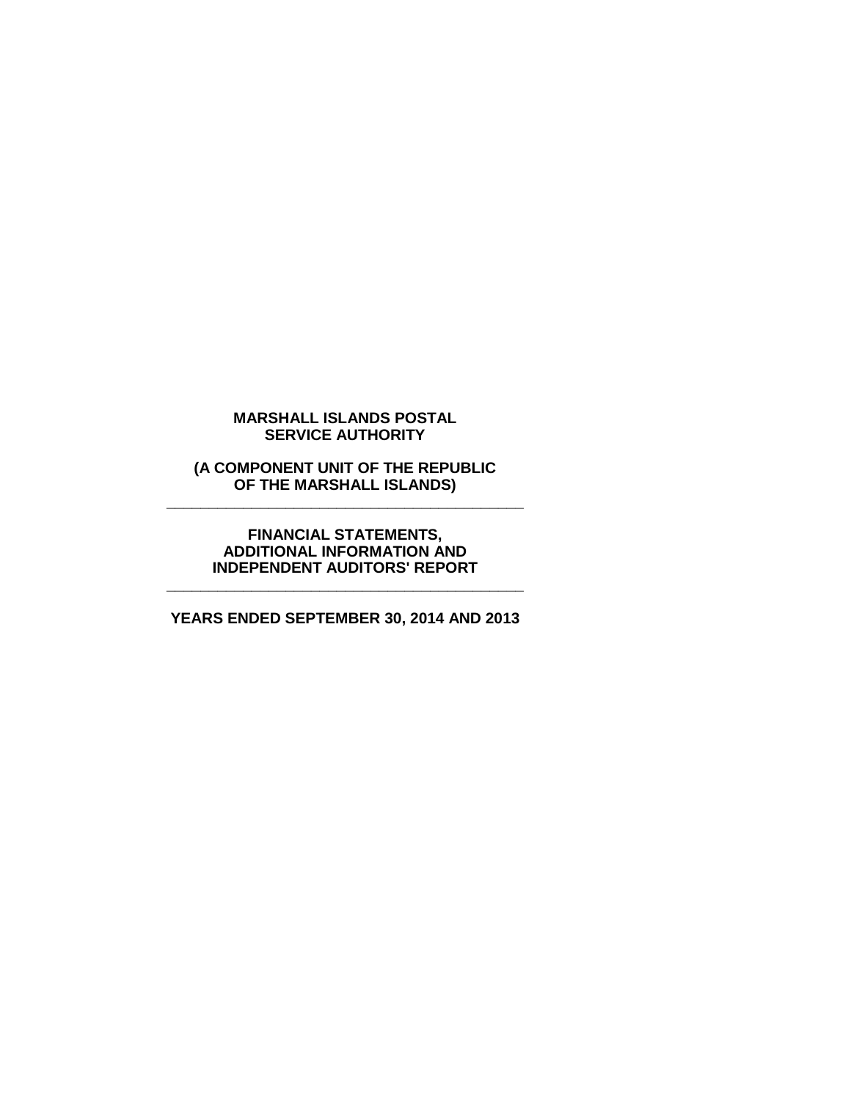**(A COMPONENT UNIT OF THE REPUBLIC OF THE MARSHALL ISLANDS) \_\_\_\_\_\_\_\_\_\_\_\_\_\_\_\_\_\_\_\_\_\_\_\_\_\_\_\_\_\_\_\_\_\_\_\_\_\_\_\_\_\_**

#### **FINANCIAL STATEMENTS, ADDITIONAL INFORMATION AND INDEPENDENT AUDITORS' REPORT**

**YEARS ENDED SEPTEMBER 30, 2014 AND 2013**

**\_\_\_\_\_\_\_\_\_\_\_\_\_\_\_\_\_\_\_\_\_\_\_\_\_\_\_\_\_\_\_\_\_\_\_\_\_\_\_\_\_\_**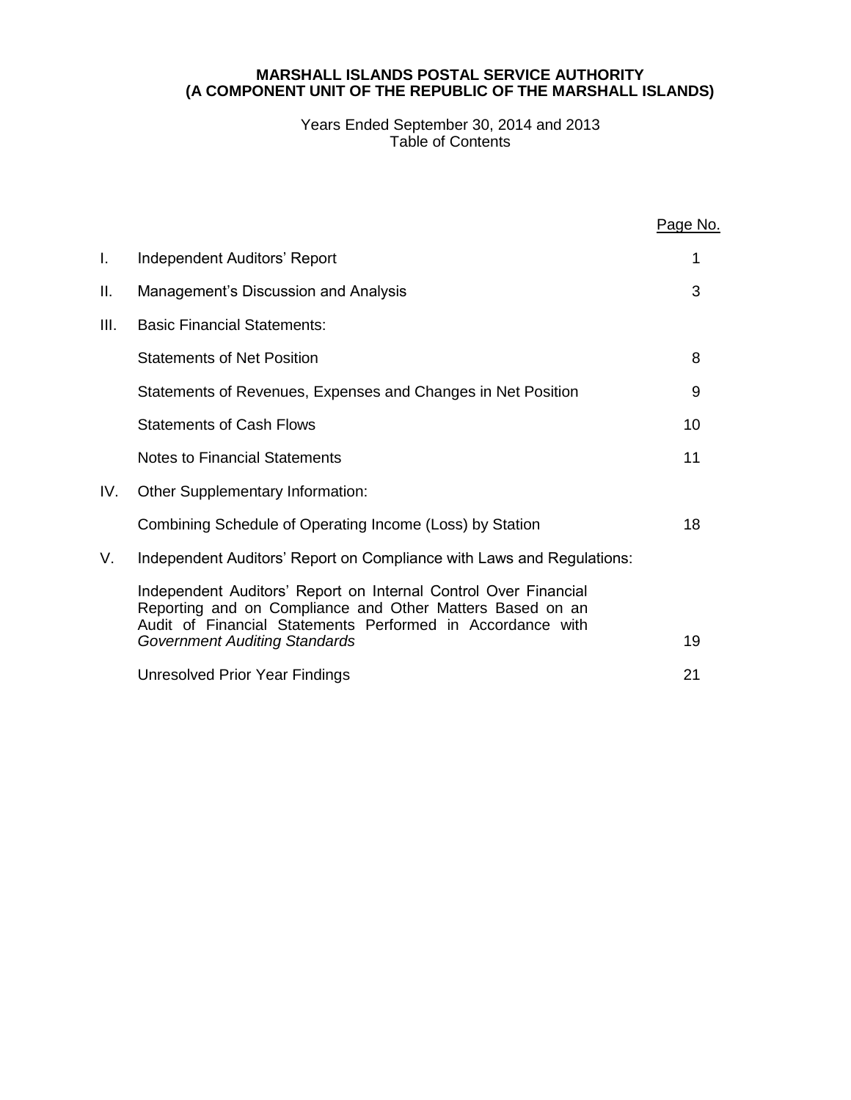# **MARSHALL ISLANDS POSTAL SERVICE AUTHORITY (A COMPONENT UNIT OF THE REPUBLIC OF THE MARSHALL ISLANDS)**

# Years Ended September 30, 2014 and 2013 Table of Contents

|      |                                                                                                                                                                                                                                    | Page No. |
|------|------------------------------------------------------------------------------------------------------------------------------------------------------------------------------------------------------------------------------------|----------|
| I.   | Independent Auditors' Report                                                                                                                                                                                                       | 1        |
| ΙΙ.  | Management's Discussion and Analysis                                                                                                                                                                                               | 3        |
| III. | <b>Basic Financial Statements:</b>                                                                                                                                                                                                 |          |
|      | <b>Statements of Net Position</b>                                                                                                                                                                                                  | 8        |
|      | Statements of Revenues, Expenses and Changes in Net Position                                                                                                                                                                       | 9        |
|      | <b>Statements of Cash Flows</b>                                                                                                                                                                                                    | 10       |
|      | <b>Notes to Financial Statements</b>                                                                                                                                                                                               | 11       |
| IV.  | Other Supplementary Information:                                                                                                                                                                                                   |          |
|      | Combining Schedule of Operating Income (Loss) by Station                                                                                                                                                                           | 18       |
| V.   | Independent Auditors' Report on Compliance with Laws and Regulations:                                                                                                                                                              |          |
|      | Independent Auditors' Report on Internal Control Over Financial<br>Reporting and on Compliance and Other Matters Based on an<br>Audit of Financial Statements Performed in Accordance with<br><b>Government Auditing Standards</b> | 19       |
|      | Unresolved Prior Year Findings                                                                                                                                                                                                     | 21       |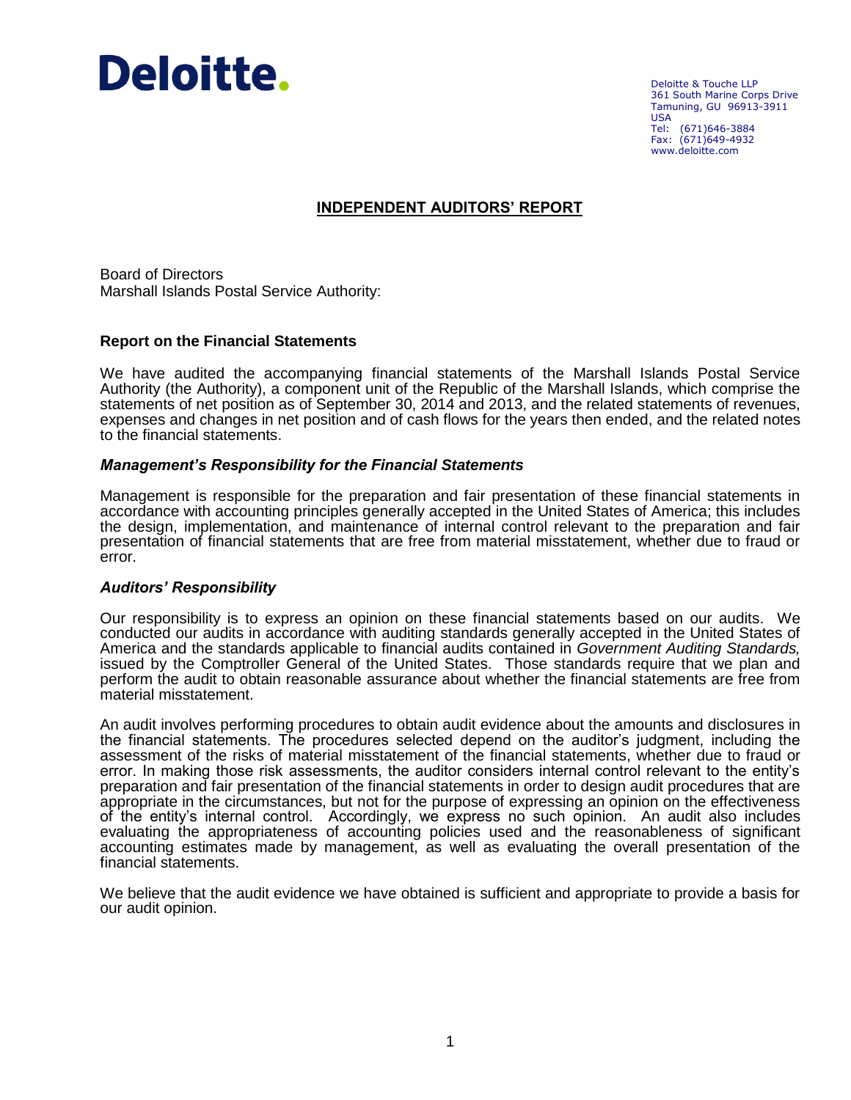

Deloitte & Touche LLP 361 South Marine Corps Drive Tamuning, GU 96913-3911 USA Tel: (671)646-3884 Fax: (671)649-4932 www.deloitte.com

# **INDEPENDENT AUDITORS' REPORT**

Board of Directors Marshall Islands Postal Service Authority:

#### **Report on the Financial Statements**

We have audited the accompanying financial statements of the Marshall Islands Postal Service Authority (the Authority), a component unit of the Republic of the Marshall Islands, which comprise the statements of net position as of September 30, 2014 and 2013, and the related statements of revenues, expenses and changes in net position and of cash flows for the years then ended, and the related notes to the financial statements.

#### *Management's Responsibility for the Financial Statements*

Management is responsible for the preparation and fair presentation of these financial statements in accordance with accounting principles generally accepted in the United States of America; this includes the design, implementation, and maintenance of internal control relevant to the preparation and fair presentation of financial statements that are free from material misstatement, whether due to fraud or error.

#### *Auditors' Responsibility*

Our responsibility is to express an opinion on these financial statements based on our audits. We conducted our audits in accordance with auditing standards generally accepted in the United States of America and the standards applicable to financial audits contained in *Government Auditing Standards,* issued by the Comptroller General of the United States. Those standards require that we plan and perform the audit to obtain reasonable assurance about whether the financial statements are free from material misstatement.

An audit involves performing procedures to obtain audit evidence about the amounts and disclosures in the financial statements. The procedures selected depend on the auditor's judgment, including the assessment of the risks of material misstatement of the financial statements, whether due to fraud or error. In making those risk assessments, the auditor considers internal control relevant to the entity's preparation and fair presentation of the financial statements in order to design audit procedures that are appropriate in the circumstances, but not for the purpose of expressing an opinion on the effectiveness of the entity's internal control. Accordingly, we express no such opinion. An audit also includes evaluating the appropriateness of accounting policies used and the reasonableness of significant accounting estimates made by management, as well as evaluating the overall presentation of the financial statements.

We believe that the audit evidence we have obtained is sufficient and appropriate to provide a basis for our audit opinion.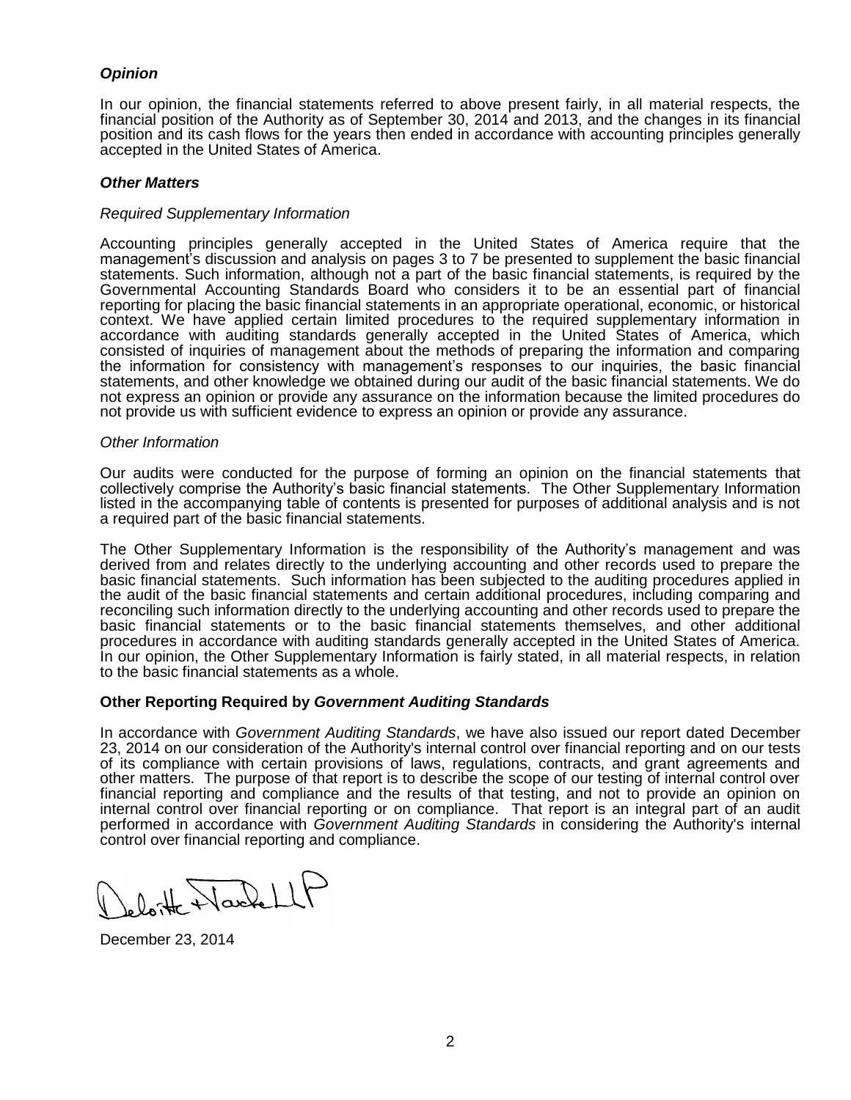# *Opinion*

In our opinion, the financial statements referred to above present fairly, in all material respects, the financial position of the Authority as of September 30, 2014 and 2013, and the changes in its financial position and its cash flows for the years then ended in accordance with accounting principles generally accepted in the United States of America.

# *Other Matters*

#### *Required Supplementary Information*

Accounting principles generally accepted in the United States of America require that the management's discussion and analysis on pages 3 to 7 be presented to supplement the basic financial statements. Such information, although not a part of the basic financial statements, is required by the Governmental Accounting Standards Board who considers it to be an essential part of financial reporting for placing the basic financial statements in an appropriate operational, economic, or historical context. We have applied certain limited procedures to the required supplementary information in accordance with auditing standards generally accepted in the United States of America, which consisted of inquiries of management about the methods of preparing the information and comparing the information for consistency with management's responses to our inquiries, the basic financial statements, and other knowledge we obtained during our audit of the basic financial statements. We do not express an opinion or provide any assurance on the information because the limited procedures do not provide us with sufficient evidence to express an opinion or provide any assurance.

#### *Other Information*

Our audits were conducted for the purpose of forming an opinion on the financial statements that collectively comprise the Authority's basic financial statements. The Other Supplementary Information listed in the accompanying table of contents is presented for purposes of additional analysis and is not a required part of the basic financial statements.

The Other Supplementary Information is the responsibility of the Authority's management and was derived from and relates directly to the underlying accounting and other records used to prepare the basic financial statements. Such information has been subjected to the auditing procedures applied in the audit of the basic financial statements and certain additional procedures, including comparing and reconciling such information directly to the underlying accounting and other records used to prepare the basic financial statements or to the basic financial statements themselves, and other additional procedures in accordance with auditing standards generally accepted in the United States of America. In our opinion, the Other Supplementary Information is fairly stated, in all material respects, in relation to the basic financial statements as a whole.

#### **Other Reporting Required by** *Government Auditing Standards*

In accordance with *Government Auditing Standards*, we have also issued our report dated December 23, 2014 on our consideration of the Authority's internal control over financial reporting and on our tests of its compliance with certain provisions of laws, regulations, contracts, and grant agreements and other matters. The purpose of that report is to describe the scope of our testing of internal control over financial reporting and compliance and the results of that testing, and not to provide an opinion on internal control over financial reporting or on compliance. That report is an integral part of an audit performed in accordance with *Government Auditing Standards* in considering the Authority's internal control over financial reporting and compliance.

eloite Nache

December 23, 2014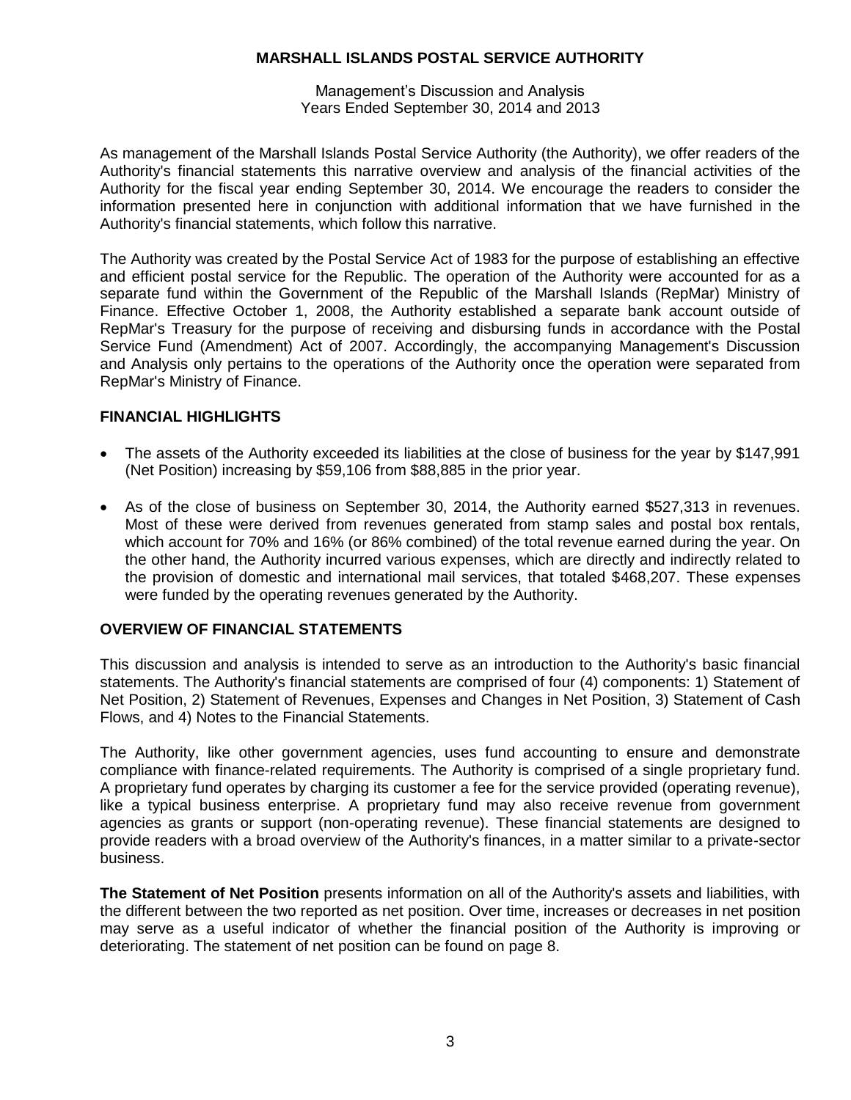Management's Discussion and Analysis Years Ended September 30, 2014 and 2013

As management of the Marshall Islands Postal Service Authority (the Authority), we offer readers of the Authority's financial statements this narrative overview and analysis of the financial activities of the Authority for the fiscal year ending September 30, 2014. We encourage the readers to consider the information presented here in conjunction with additional information that we have furnished in the Authority's financial statements, which follow this narrative.

The Authority was created by the Postal Service Act of 1983 for the purpose of establishing an effective and efficient postal service for the Republic. The operation of the Authority were accounted for as a separate fund within the Government of the Republic of the Marshall Islands (RepMar) Ministry of Finance. Effective October 1, 2008, the Authority established a separate bank account outside of RepMar's Treasury for the purpose of receiving and disbursing funds in accordance with the Postal Service Fund (Amendment) Act of 2007. Accordingly, the accompanying Management's Discussion and Analysis only pertains to the operations of the Authority once the operation were separated from RepMar's Ministry of Finance.

# **FINANCIAL HIGHLIGHTS**

- The assets of the Authority exceeded its liabilities at the close of business for the year by \$147,991 (Net Position) increasing by \$59,106 from \$88,885 in the prior year.
- As of the close of business on September 30, 2014, the Authority earned \$527,313 in revenues. Most of these were derived from revenues generated from stamp sales and postal box rentals, which account for 70% and 16% (or 86% combined) of the total revenue earned during the year. On the other hand, the Authority incurred various expenses, which are directly and indirectly related to the provision of domestic and international mail services, that totaled \$468,207. These expenses were funded by the operating revenues generated by the Authority.

# **OVERVIEW OF FINANCIAL STATEMENTS**

This discussion and analysis is intended to serve as an introduction to the Authority's basic financial statements. The Authority's financial statements are comprised of four (4) components: 1) Statement of Net Position, 2) Statement of Revenues, Expenses and Changes in Net Position, 3) Statement of Cash Flows, and 4) Notes to the Financial Statements.

The Authority, like other government agencies, uses fund accounting to ensure and demonstrate compliance with finance-related requirements. The Authority is comprised of a single proprietary fund. A proprietary fund operates by charging its customer a fee for the service provided (operating revenue), like a typical business enterprise. A proprietary fund may also receive revenue from government agencies as grants or support (non-operating revenue). These financial statements are designed to provide readers with a broad overview of the Authority's finances, in a matter similar to a private-sector business.

**The Statement of Net Position** presents information on all of the Authority's assets and liabilities, with the different between the two reported as net position. Over time, increases or decreases in net position may serve as a useful indicator of whether the financial position of the Authority is improving or deteriorating. The statement of net position can be found on page 8.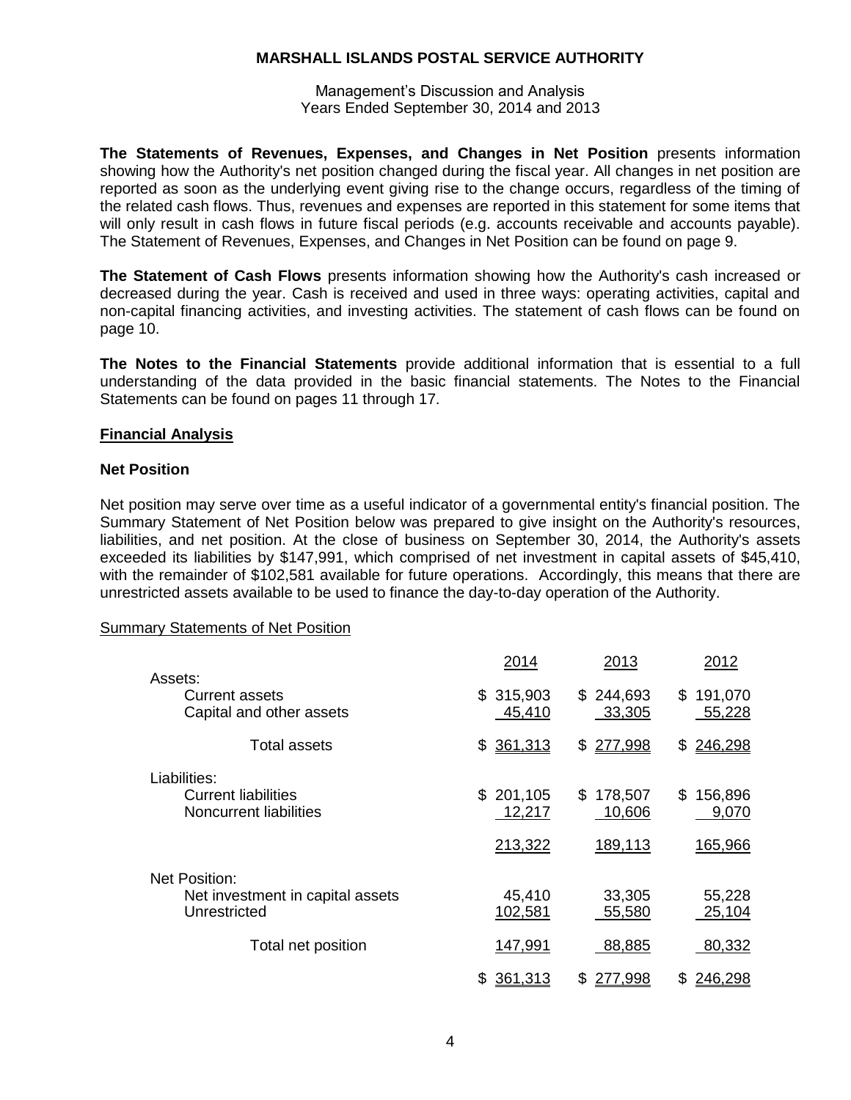Management's Discussion and Analysis Years Ended September 30, 2014 and 2013

**The Statements of Revenues, Expenses, and Changes in Net Position** presents information showing how the Authority's net position changed during the fiscal year. All changes in net position are reported as soon as the underlying event giving rise to the change occurs, regardless of the timing of the related cash flows. Thus, revenues and expenses are reported in this statement for some items that will only result in cash flows in future fiscal periods (e.g. accounts receivable and accounts payable). The Statement of Revenues, Expenses, and Changes in Net Position can be found on page 9.

**The Statement of Cash Flows** presents information showing how the Authority's cash increased or decreased during the year. Cash is received and used in three ways: operating activities, capital and non-capital financing activities, and investing activities. The statement of cash flows can be found on page 10.

**The Notes to the Financial Statements** provide additional information that is essential to a full understanding of the data provided in the basic financial statements. The Notes to the Financial Statements can be found on pages 11 through 17.

# **Financial Analysis**

# **Net Position**

Net position may serve over time as a useful indicator of a governmental entity's financial position. The Summary Statement of Net Position below was prepared to give insight on the Authority's resources, liabilities, and net position. At the close of business on September 30, 2014, the Authority's assets exceeded its liabilities by \$147,991, which comprised of net investment in capital assets of \$45,410, with the remainder of \$102,581 available for future operations. Accordingly, this means that there are unrestricted assets available to be used to finance the day-to-day operation of the Authority.

# Summary Statements of Net Position

| Assets:                                                                  | 2014                           | 2013                           | 2012                              |
|--------------------------------------------------------------------------|--------------------------------|--------------------------------|-----------------------------------|
| Current assets<br>Capital and other assets                               | \$315,903<br>45,410            | \$244,693<br>33,305            | 191,070<br>\$<br>55,228           |
| <b>Total assets</b>                                                      | 361,313<br>\$                  | 277,998<br>\$                  | \$<br>246,298                     |
| Liabilities:<br><b>Current liabilities</b><br>Noncurrent liabilities     | \$201,105<br>12,217<br>213,322 | \$178,507<br>10,606<br>189,113 | 156,896<br>\$<br>9,070<br>165,966 |
| <b>Net Position:</b><br>Net investment in capital assets<br>Unrestricted | 45,410<br>102,581              | 33,305<br>55,580               | 55,228<br>25,104                  |
| Total net position                                                       | 147,991                        | 88,885                         | 80,332                            |
|                                                                          | 361,313<br>\$                  | 277,998<br>S                   | 246,298<br>\$                     |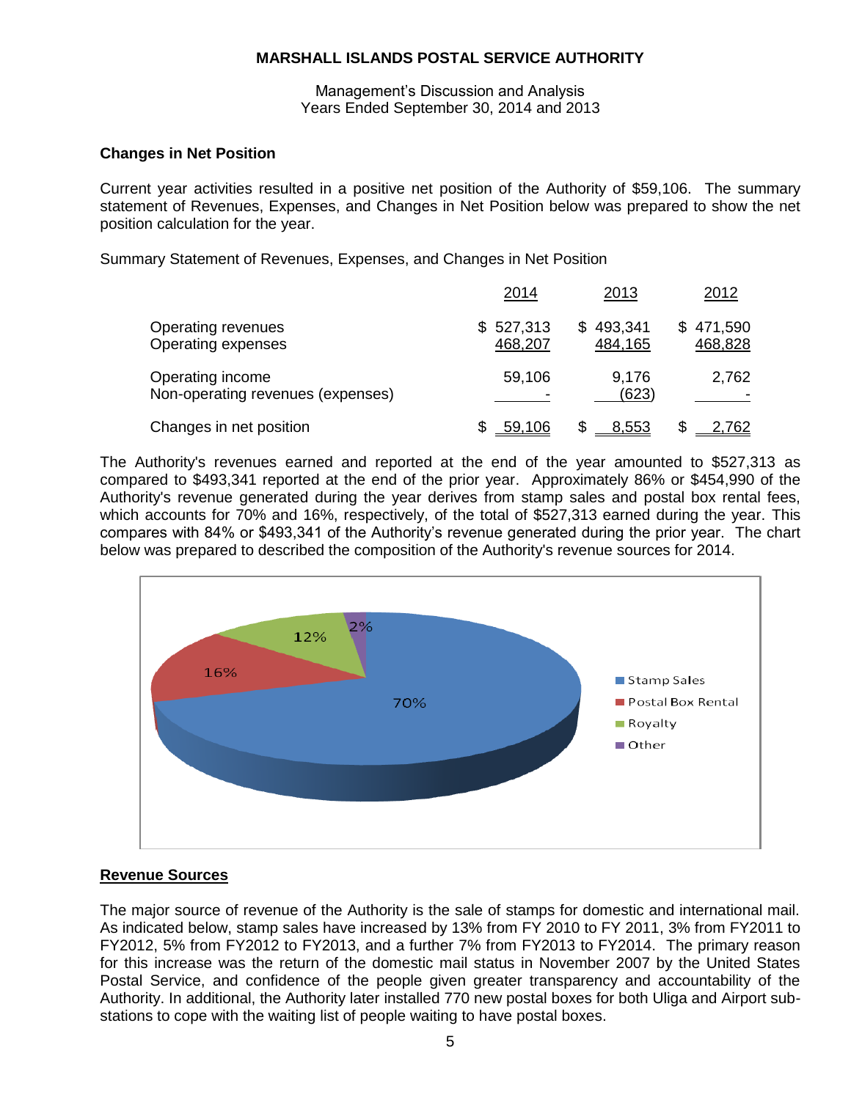Management's Discussion and Analysis Years Ended September 30, 2014 and 2013

# **Changes in Net Position**

Current year activities resulted in a positive net position of the Authority of \$59,106. The summary statement of Revenues, Expenses, and Changes in Net Position below was prepared to show the net position calculation for the year.

Summary Statement of Revenues, Expenses, and Changes in Net Position

|                                                       | 2014                 | 2013                      | 2012                 |
|-------------------------------------------------------|----------------------|---------------------------|----------------------|
| Operating revenues<br>Operating expenses              | \$527,313<br>468,207 | 493,341<br>\$.<br>484,165 | \$471,590<br>468,828 |
| Operating income<br>Non-operating revenues (expenses) | 59,106               | 9.176<br>(623)            | 2,762                |
| Changes in net position                               | 59.106               | 8.553                     | 2.762                |

The Authority's revenues earned and reported at the end of the year amounted to \$527,313 as compared to \$493,341 reported at the end of the prior year. Approximately 86% or \$454,990 of the Authority's revenue generated during the year derives from stamp sales and postal box rental fees, which accounts for 70% and 16%, respectively, of the total of \$527,313 earned during the year. This compares with 84% or \$493,341 of the Authority's revenue generated during the prior year. The chart below was prepared to described the composition of the Authority's revenue sources for 2014.



# **Revenue Sources**

The major source of revenue of the Authority is the sale of stamps for domestic and international mail. As indicated below, stamp sales have increased by 13% from FY 2010 to FY 2011, 3% from FY2011 to FY2012, 5% from FY2012 to FY2013, and a further 7% from FY2013 to FY2014. The primary reason for this increase was the return of the domestic mail status in November 2007 by the United States Postal Service, and confidence of the people given greater transparency and accountability of the Authority. In additional, the Authority later installed 770 new postal boxes for both Uliga and Airport substations to cope with the waiting list of people waiting to have postal boxes.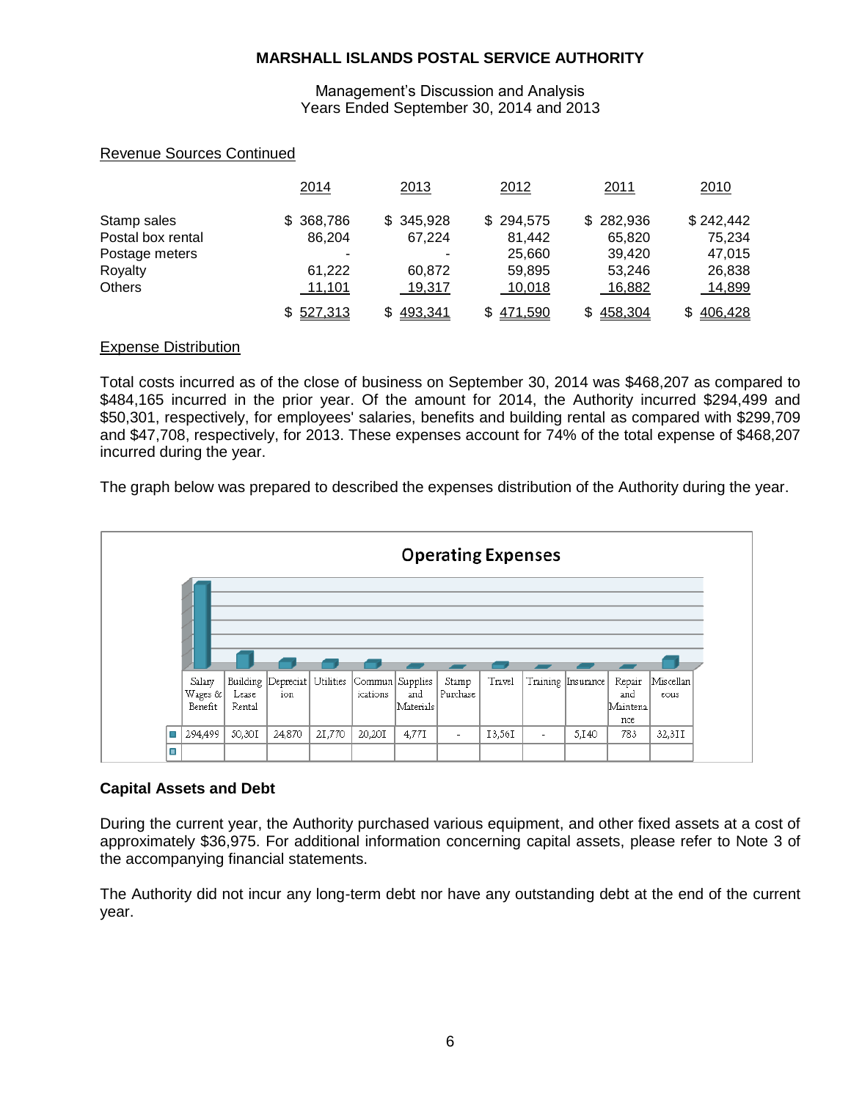Management's Discussion and Analysis Years Ended September 30, 2014 and 2013

# Revenue Sources Continued

|                   | 2014      | 2013      | 2012         | 2011      | 2010      |
|-------------------|-----------|-----------|--------------|-----------|-----------|
| Stamp sales       | \$368,786 | \$345,928 | \$294,575    | \$282,936 | \$242,442 |
| Postal box rental | 86,204    | 67,224    | 81,442       | 65,820    | 75,234    |
| Postage meters    | ۰         |           | 25.660       | 39.420    | 47,015    |
| Royalty           | 61,222    | 60.872    | 59,895       | 53,246    | 26,838    |
| <b>Others</b>     | 11,101    | 19,317    | 10,018       | 16,882    | 14,899    |
|                   | \$527,313 | 493,341   | 471,590<br>S | \$458,304 | 406,428   |

# Expense Distribution

Total costs incurred as of the close of business on September 30, 2014 was \$468,207 as compared to \$484,165 incurred in the prior year. Of the amount for 2014, the Authority incurred \$294,499 and \$50,301, respectively, for employees' salaries, benefits and building rental as compared with \$299,709 and \$47,708, respectively, for 2013. These expenses account for 74% of the total expense of \$468,207 incurred during the year.

The graph below was prepared to described the expenses distribution of the Authority during the year.



# **Capital Assets and Debt**

During the current year, the Authority purchased various equipment, and other fixed assets at a cost of approximately \$36,975. For additional information concerning capital assets, please refer to Note 3 of the accompanying financial statements.

The Authority did not incur any long-term debt nor have any outstanding debt at the end of the current year.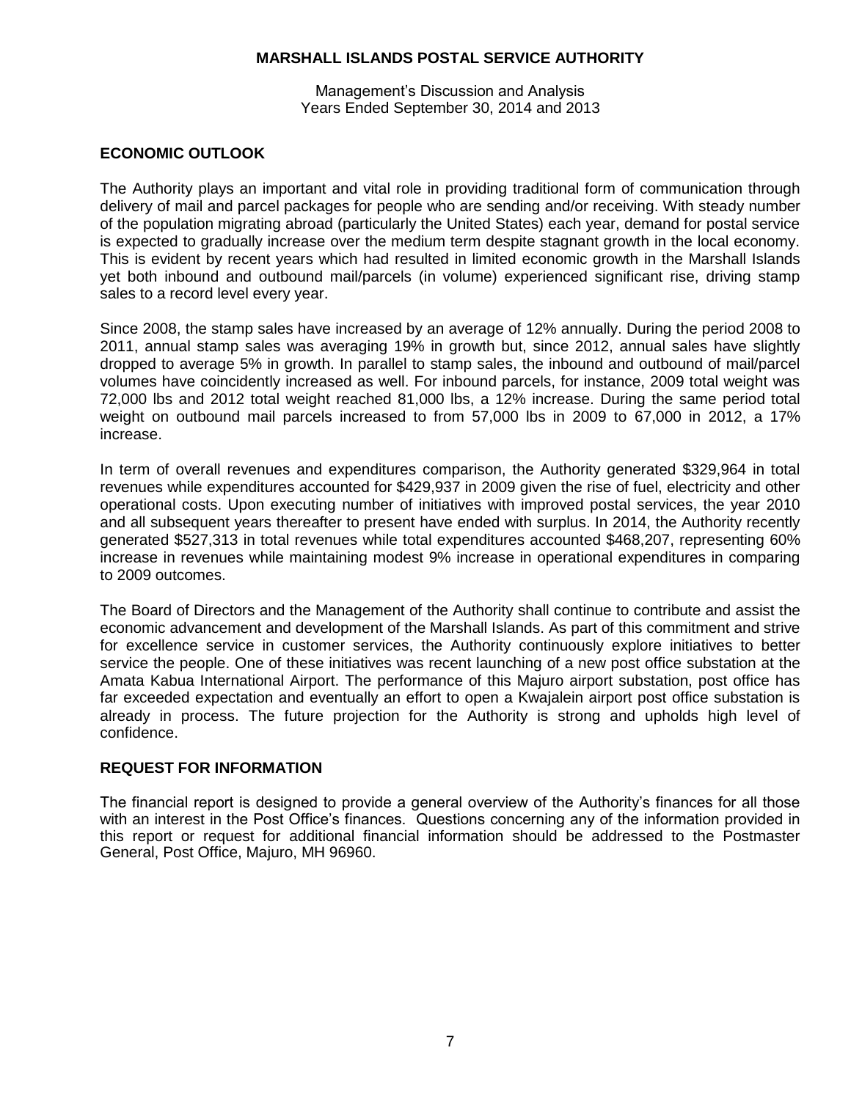Management's Discussion and Analysis Years Ended September 30, 2014 and 2013

# **ECONOMIC OUTLOOK**

The Authority plays an important and vital role in providing traditional form of communication through delivery of mail and parcel packages for people who are sending and/or receiving. With steady number of the population migrating abroad (particularly the United States) each year, demand for postal service is expected to gradually increase over the medium term despite stagnant growth in the local economy. This is evident by recent years which had resulted in limited economic growth in the Marshall Islands yet both inbound and outbound mail/parcels (in volume) experienced significant rise, driving stamp sales to a record level every year.

Since 2008, the stamp sales have increased by an average of 12% annually. During the period 2008 to 2011, annual stamp sales was averaging 19% in growth but, since 2012, annual sales have slightly dropped to average 5% in growth. In parallel to stamp sales, the inbound and outbound of mail/parcel volumes have coincidently increased as well. For inbound parcels, for instance, 2009 total weight was 72,000 lbs and 2012 total weight reached 81,000 lbs, a 12% increase. During the same period total weight on outbound mail parcels increased to from 57,000 lbs in 2009 to 67,000 in 2012, a 17% increase.

In term of overall revenues and expenditures comparison, the Authority generated \$329,964 in total revenues while expenditures accounted for \$429,937 in 2009 given the rise of fuel, electricity and other operational costs. Upon executing number of initiatives with improved postal services, the year 2010 and all subsequent years thereafter to present have ended with surplus. In 2014, the Authority recently generated \$527,313 in total revenues while total expenditures accounted \$468,207, representing 60% increase in revenues while maintaining modest 9% increase in operational expenditures in comparing to 2009 outcomes.

The Board of Directors and the Management of the Authority shall continue to contribute and assist the economic advancement and development of the Marshall Islands. As part of this commitment and strive for excellence service in customer services, the Authority continuously explore initiatives to better service the people. One of these initiatives was recent launching of a new post office substation at the Amata Kabua International Airport. The performance of this Majuro airport substation, post office has far exceeded expectation and eventually an effort to open a Kwajalein airport post office substation is already in process. The future projection for the Authority is strong and upholds high level of confidence.

# **REQUEST FOR INFORMATION**

The financial report is designed to provide a general overview of the Authority's finances for all those with an interest in the Post Office's finances. Questions concerning any of the information provided in this report or request for additional financial information should be addressed to the Postmaster General, Post Office, Majuro, MH 96960.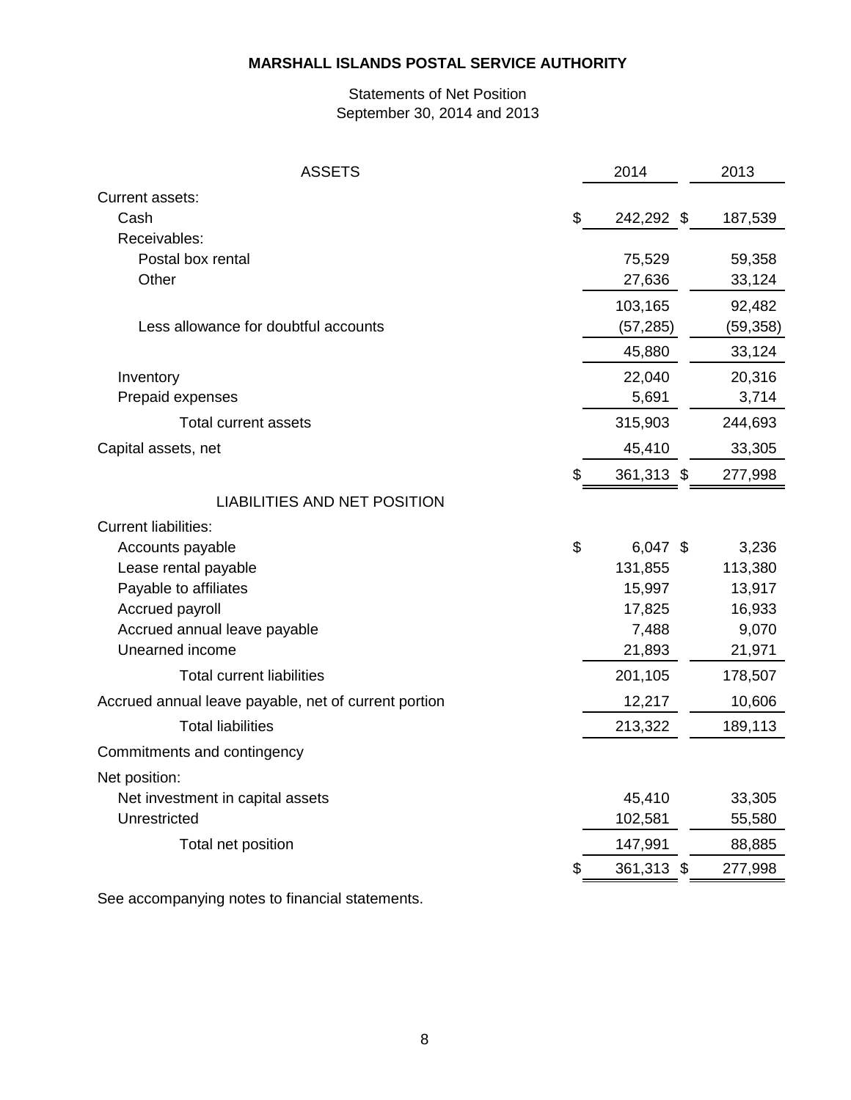# Statements of Net Position September 30, 2014 and 2013

| <b>ASSETS</b>                                        |    | 2014       | 2013      |
|------------------------------------------------------|----|------------|-----------|
| Current assets:                                      |    |            |           |
| Cash                                                 | \$ | 242,292 \$ | 187,539   |
| Receivables:                                         |    |            |           |
| Postal box rental                                    |    | 75,529     | 59,358    |
| Other                                                |    | 27,636     | 33,124    |
|                                                      |    | 103,165    | 92,482    |
| Less allowance for doubtful accounts                 |    | (57, 285)  | (59, 358) |
|                                                      |    | 45,880     | 33,124    |
| Inventory                                            |    | 22,040     | 20,316    |
| Prepaid expenses                                     |    | 5,691      | 3,714     |
| <b>Total current assets</b>                          |    | 315,903    | 244,693   |
| Capital assets, net                                  |    | 45,410     | 33,305    |
|                                                      | S  | 361,313 \$ | 277,998   |
| <b>LIABILITIES AND NET POSITION</b>                  |    |            |           |
| <b>Current liabilities:</b>                          |    |            |           |
| Accounts payable                                     | \$ | $6,047$ \$ | 3,236     |
| Lease rental payable                                 |    | 131,855    | 113,380   |
| Payable to affiliates                                |    | 15,997     | 13,917    |
| Accrued payroll                                      |    | 17,825     | 16,933    |
| Accrued annual leave payable                         |    | 7,488      | 9,070     |
| Unearned income                                      |    | 21,893     | 21,971    |
| <b>Total current liabilities</b>                     |    | 201,105    | 178,507   |
| Accrued annual leave payable, net of current portion |    | 12,217     | 10,606    |
| <b>Total liabilities</b>                             |    | 213,322    | 189,113   |
| Commitments and contingency                          |    |            |           |
| Net position:                                        |    |            |           |
| Net investment in capital assets                     |    | 45,410     | 33,305    |
| Unrestricted                                         |    | 102,581    | 55,580    |
| Total net position                                   |    | 147,991    | 88,885    |
|                                                      | \$ | 361,313 \$ | 277,998   |

See accompanying notes to financial statements.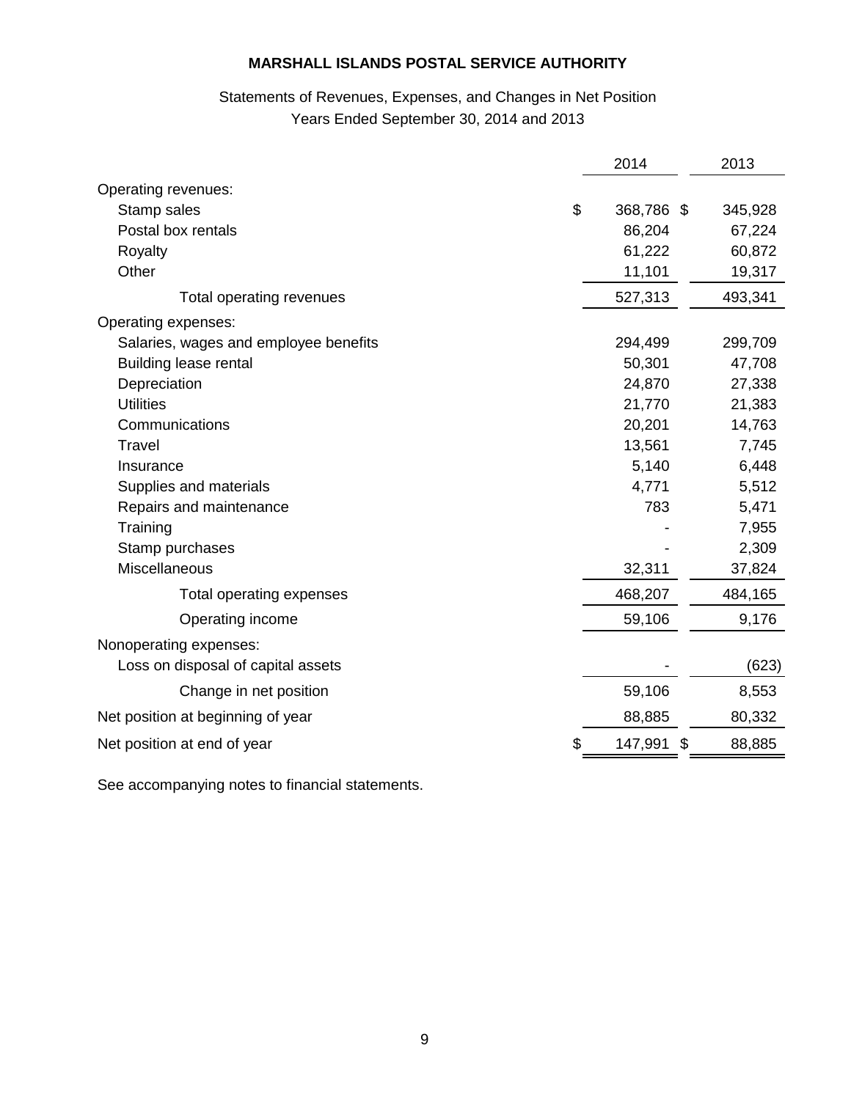# Statements of Revenues, Expenses, and Changes in Net Position Years Ended September 30, 2014 and 2013

|                                       | 2014                | 2013    |
|---------------------------------------|---------------------|---------|
| Operating revenues:                   |                     |         |
| Stamp sales                           | \$<br>368,786 \$    | 345,928 |
| Postal box rentals                    | 86,204              | 67,224  |
| Royalty                               | 61,222              | 60,872  |
| Other                                 | 11,101              | 19,317  |
| Total operating revenues              | 527,313             | 493,341 |
| Operating expenses:                   |                     |         |
| Salaries, wages and employee benefits | 294,499             | 299,709 |
| <b>Building lease rental</b>          | 50,301              | 47,708  |
| Depreciation                          | 24,870              | 27,338  |
| <b>Utilities</b>                      | 21,770              | 21,383  |
| Communications                        | 20,201              | 14,763  |
| <b>Travel</b>                         | 13,561              | 7,745   |
| Insurance                             | 5,140               | 6,448   |
| Supplies and materials                | 4,771               | 5,512   |
| Repairs and maintenance               | 783                 | 5,471   |
| Training                              |                     | 7,955   |
| Stamp purchases                       |                     | 2,309   |
| Miscellaneous                         | 32,311              | 37,824  |
| Total operating expenses              | 468,207             | 484,165 |
| Operating income                      | 59,106              | 9,176   |
| Nonoperating expenses:                |                     |         |
| Loss on disposal of capital assets    |                     | (623)   |
| Change in net position                | 59,106              | 8,553   |
| Net position at beginning of year     | 88,885              | 80,332  |
| Net position at end of year           | \$<br>147,991<br>\$ | 88,885  |

See accompanying notes to financial statements.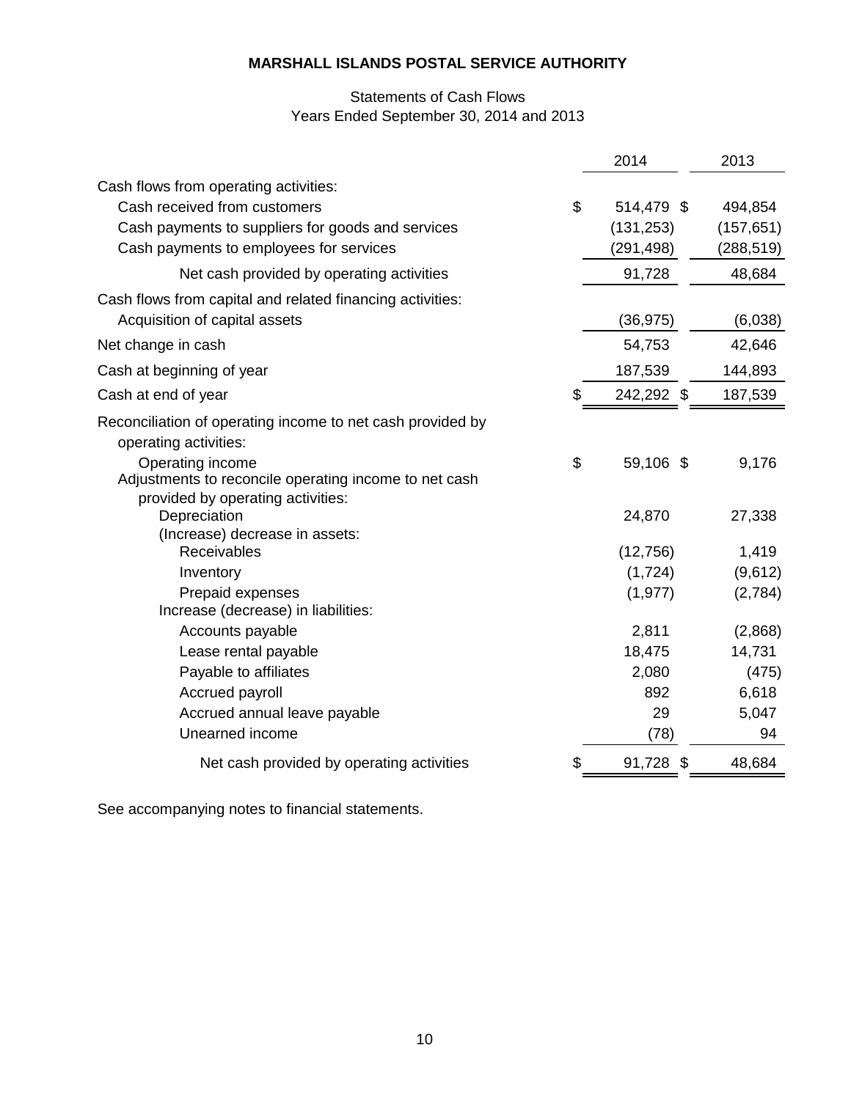# Statements of Cash Flows Years Ended September 30, 2014 and 2013

|                                                            | 2014             | 2013       |
|------------------------------------------------------------|------------------|------------|
| Cash flows from operating activities:                      |                  |            |
| Cash received from customers                               | \$<br>514,479 \$ | 494,854    |
| Cash payments to suppliers for goods and services          | (131, 253)       | (157, 651) |
| Cash payments to employees for services                    | (291, 498)       | (288, 519) |
| Net cash provided by operating activities                  | 91,728           | 48,684     |
| Cash flows from capital and related financing activities:  |                  |            |
| Acquisition of capital assets                              | (36, 975)        | (6,038)    |
| Net change in cash                                         | 54,753           | 42,646     |
| Cash at beginning of year                                  | 187,539          | 144,893    |
| Cash at end of year                                        | \$<br>242,292 \$ | 187,539    |
| Reconciliation of operating income to net cash provided by |                  |            |
| operating activities:                                      |                  |            |
| Operating income                                           | \$<br>59,106 \$  | 9,176      |
| Adjustments to reconcile operating income to net cash      |                  |            |
| provided by operating activities:<br>Depreciation          | 24,870           | 27,338     |
| (Increase) decrease in assets:                             |                  |            |
| <b>Receivables</b>                                         | (12,756)         | 1,419      |
| Inventory                                                  | (1, 724)         | (9,612)    |
| Prepaid expenses                                           | (1, 977)         | (2,784)    |
| Increase (decrease) in liabilities:                        |                  |            |
| Accounts payable                                           | 2,811            | (2,868)    |
| Lease rental payable                                       | 18,475           | 14,731     |
| Payable to affiliates                                      | 2,080            | (475)      |
| Accrued payroll                                            | 892              | 6,618      |
| Accrued annual leave payable                               | 29               | 5,047      |
| Unearned income                                            | (78)             | 94         |
| Net cash provided by operating activities                  | \$<br>91,728 \$  | 48,684     |

See accompanying notes to financial statements.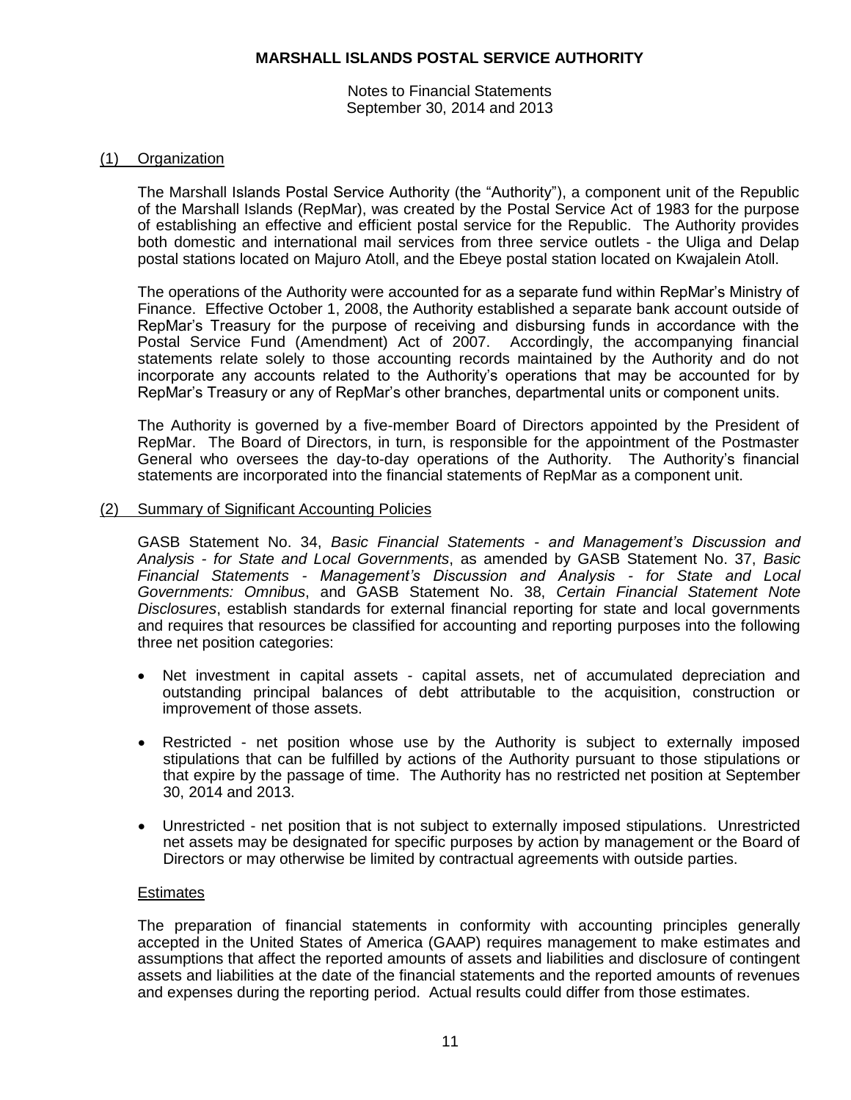Notes to Financial Statements September 30, 2014 and 2013

# (1) Organization

The Marshall Islands Postal Service Authority (the "Authority"), a component unit of the Republic of the Marshall Islands (RepMar), was created by the Postal Service Act of 1983 for the purpose of establishing an effective and efficient postal service for the Republic. The Authority provides both domestic and international mail services from three service outlets - the Uliga and Delap postal stations located on Majuro Atoll, and the Ebeye postal station located on Kwajalein Atoll.

The operations of the Authority were accounted for as a separate fund within RepMar's Ministry of Finance. Effective October 1, 2008, the Authority established a separate bank account outside of RepMar's Treasury for the purpose of receiving and disbursing funds in accordance with the Postal Service Fund (Amendment) Act of 2007. Accordingly, the accompanying financial statements relate solely to those accounting records maintained by the Authority and do not incorporate any accounts related to the Authority's operations that may be accounted for by RepMar's Treasury or any of RepMar's other branches, departmental units or component units.

The Authority is governed by a five-member Board of Directors appointed by the President of RepMar. The Board of Directors, in turn, is responsible for the appointment of the Postmaster General who oversees the day-to-day operations of the Authority. The Authority's financial statements are incorporated into the financial statements of RepMar as a component unit.

# (2) Summary of Significant Accounting Policies

GASB Statement No. 34, *Basic Financial Statements - and Management's Discussion and Analysis - for State and Local Governments*, as amended by GASB Statement No. 37, *Basic Financial Statements - Management's Discussion and Analysis - for State and Local Governments: Omnibus*, and GASB Statement No. 38, *Certain Financial Statement Note Disclosures*, establish standards for external financial reporting for state and local governments and requires that resources be classified for accounting and reporting purposes into the following three net position categories:

- Net investment in capital assets capital assets, net of accumulated depreciation and outstanding principal balances of debt attributable to the acquisition, construction or improvement of those assets.
- Restricted net position whose use by the Authority is subject to externally imposed stipulations that can be fulfilled by actions of the Authority pursuant to those stipulations or that expire by the passage of time. The Authority has no restricted net position at September 30, 2014 and 2013.
- Unrestricted net position that is not subject to externally imposed stipulations. Unrestricted net assets may be designated for specific purposes by action by management or the Board of Directors or may otherwise be limited by contractual agreements with outside parties.

# **Estimates**

The preparation of financial statements in conformity with accounting principles generally accepted in the United States of America (GAAP) requires management to make estimates and assumptions that affect the reported amounts of assets and liabilities and disclosure of contingent assets and liabilities at the date of the financial statements and the reported amounts of revenues and expenses during the reporting period. Actual results could differ from those estimates.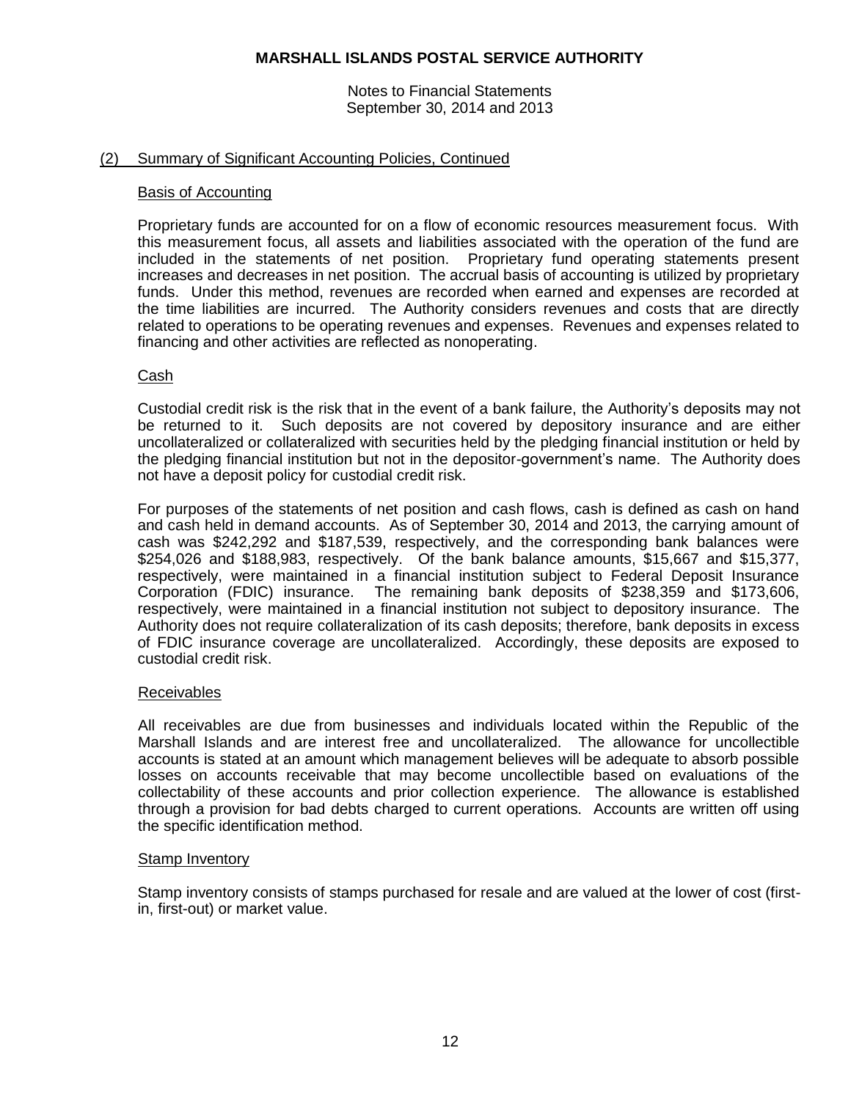Notes to Financial Statements September 30, 2014 and 2013

# (2) Summary of Significant Accounting Policies, Continued

#### Basis of Accounting

Proprietary funds are accounted for on a flow of economic resources measurement focus. With this measurement focus, all assets and liabilities associated with the operation of the fund are included in the statements of net position. Proprietary fund operating statements present increases and decreases in net position. The accrual basis of accounting is utilized by proprietary funds. Under this method, revenues are recorded when earned and expenses are recorded at the time liabilities are incurred. The Authority considers revenues and costs that are directly related to operations to be operating revenues and expenses. Revenues and expenses related to financing and other activities are reflected as nonoperating.

# Cash

Custodial credit risk is the risk that in the event of a bank failure, the Authority's deposits may not be returned to it. Such deposits are not covered by depository insurance and are either uncollateralized or collateralized with securities held by the pledging financial institution or held by the pledging financial institution but not in the depositor-government's name. The Authority does not have a deposit policy for custodial credit risk.

For purposes of the statements of net position and cash flows, cash is defined as cash on hand and cash held in demand accounts. As of September 30, 2014 and 2013, the carrying amount of cash was \$242,292 and \$187,539, respectively, and the corresponding bank balances were \$254,026 and \$188,983, respectively. Of the bank balance amounts, \$15,667 and \$15,377, respectively, were maintained in a financial institution subject to Federal Deposit Insurance Corporation (FDIC) insurance. The remaining bank deposits of \$238,359 and \$173,606, respectively, were maintained in a financial institution not subject to depository insurance. The Authority does not require collateralization of its cash deposits; therefore, bank deposits in excess of FDIC insurance coverage are uncollateralized. Accordingly, these deposits are exposed to custodial credit risk.

# Receivables

All receivables are due from businesses and individuals located within the Republic of the Marshall Islands and are interest free and uncollateralized. The allowance for uncollectible accounts is stated at an amount which management believes will be adequate to absorb possible losses on accounts receivable that may become uncollectible based on evaluations of the collectability of these accounts and prior collection experience. The allowance is established through a provision for bad debts charged to current operations. Accounts are written off using the specific identification method.

# Stamp Inventory

Stamp inventory consists of stamps purchased for resale and are valued at the lower of cost (firstin, first-out) or market value.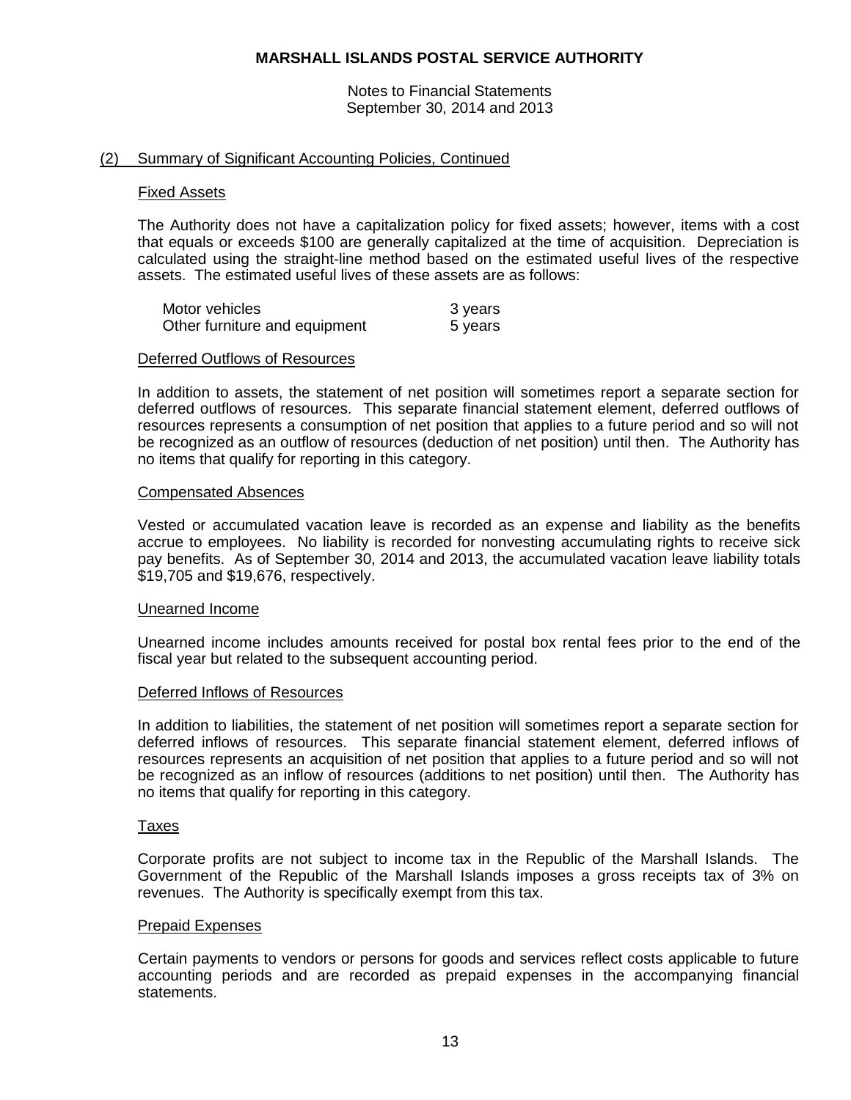Notes to Financial Statements September 30, 2014 and 2013

#### (2) Summary of Significant Accounting Policies, Continued

#### Fixed Assets

The Authority does not have a capitalization policy for fixed assets; however, items with a cost that equals or exceeds \$100 are generally capitalized at the time of acquisition. Depreciation is calculated using the straight-line method based on the estimated useful lives of the respective assets. The estimated useful lives of these assets are as follows:

| Motor vehicles                | 3 years |
|-------------------------------|---------|
| Other furniture and equipment | 5 years |

#### Deferred Outflows of Resources

In addition to assets, the statement of net position will sometimes report a separate section for deferred outflows of resources. This separate financial statement element, deferred outflows of resources represents a consumption of net position that applies to a future period and so will not be recognized as an outflow of resources (deduction of net position) until then. The Authority has no items that qualify for reporting in this category.

#### Compensated Absences

Vested or accumulated vacation leave is recorded as an expense and liability as the benefits accrue to employees. No liability is recorded for nonvesting accumulating rights to receive sick pay benefits. As of September 30, 2014 and 2013, the accumulated vacation leave liability totals \$19,705 and \$19,676, respectively.

#### Unearned Income

Unearned income includes amounts received for postal box rental fees prior to the end of the fiscal year but related to the subsequent accounting period.

#### Deferred Inflows of Resources

In addition to liabilities, the statement of net position will sometimes report a separate section for deferred inflows of resources. This separate financial statement element, deferred inflows of resources represents an acquisition of net position that applies to a future period and so will not be recognized as an inflow of resources (additions to net position) until then. The Authority has no items that qualify for reporting in this category.

### Taxes

Corporate profits are not subject to income tax in the Republic of the Marshall Islands. The Government of the Republic of the Marshall Islands imposes a gross receipts tax of 3% on revenues. The Authority is specifically exempt from this tax.

#### Prepaid Expenses

Certain payments to vendors or persons for goods and services reflect costs applicable to future accounting periods and are recorded as prepaid expenses in the accompanying financial statements.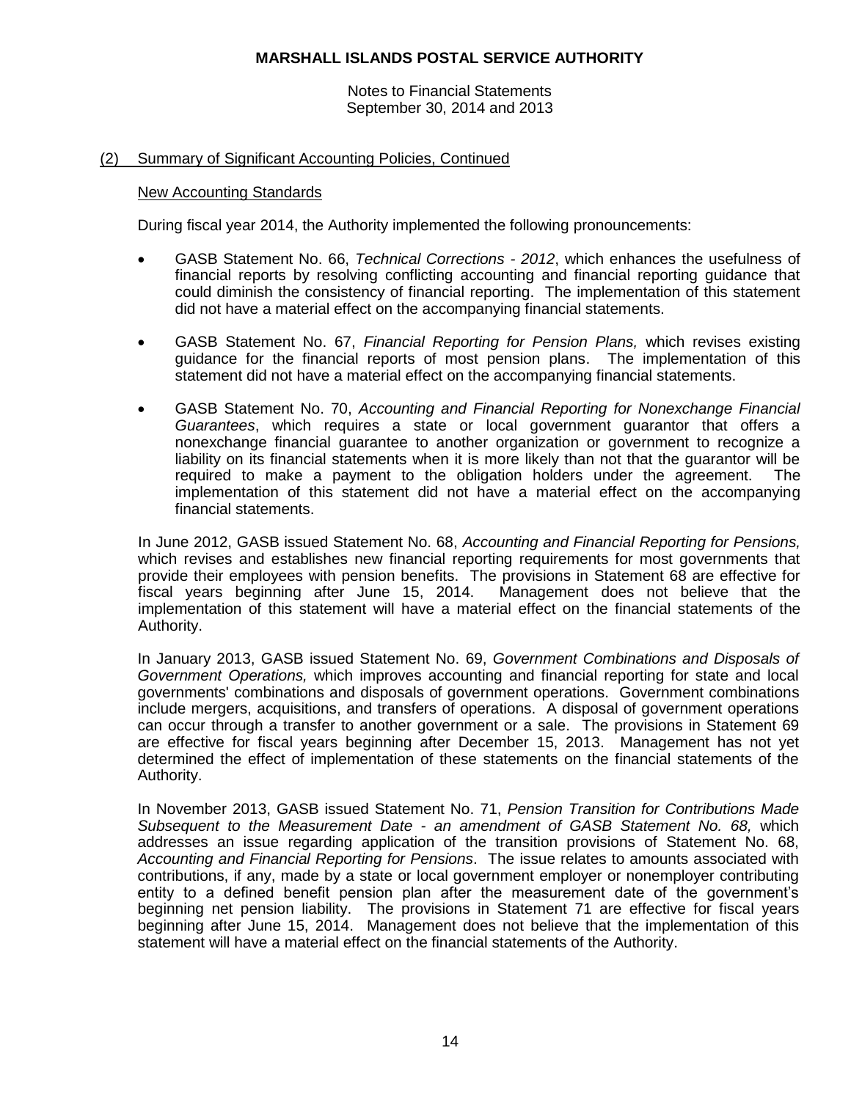Notes to Financial Statements September 30, 2014 and 2013

# (2) Summary of Significant Accounting Policies, Continued

#### New Accounting Standards

During fiscal year 2014, the Authority implemented the following pronouncements:

- GASB Statement No. 66, *Technical Corrections - 2012*, which enhances the usefulness of financial reports by resolving conflicting accounting and financial reporting guidance that could diminish the consistency of financial reporting. The implementation of this statement did not have a material effect on the accompanying financial statements.
- GASB Statement No. 67, *Financial Reporting for Pension Plans,* which revises existing guidance for the financial reports of most pension plans. The implementation of this statement did not have a material effect on the accompanying financial statements.
- GASB Statement No. 70, *Accounting and Financial Reporting for Nonexchange Financial Guarantees*, which requires a state or local government guarantor that offers a nonexchange financial guarantee to another organization or government to recognize a liability on its financial statements when it is more likely than not that the guarantor will be required to make a payment to the obligation holders under the agreement. The implementation of this statement did not have a material effect on the accompanying financial statements.

In June 2012, GASB issued Statement No. 68, *Accounting and Financial Reporting for Pensions,*  which revises and establishes new financial reporting requirements for most governments that provide their employees with pension benefits. The provisions in Statement 68 are effective for fiscal years beginning after June 15, 2014. Management does not believe that the implementation of this statement will have a material effect on the financial statements of the Authority.

In January 2013, GASB issued Statement No. 69, *Government Combinations and Disposals of Government Operations,* which improves accounting and financial reporting for state and local governments' combinations and disposals of government operations. Government combinations include mergers, acquisitions, and transfers of operations. A disposal of government operations can occur through a transfer to another government or a sale. The provisions in Statement 69 are effective for fiscal years beginning after December 15, 2013. Management has not yet determined the effect of implementation of these statements on the financial statements of the Authority.

In November 2013, GASB issued Statement No. 71, *Pension Transition for Contributions Made Subsequent to the Measurement Date - an amendment of GASB Statement No. 68,* which addresses an issue regarding application of the transition provisions of Statement No. 68, *Accounting and Financial Reporting for Pensions*. The issue relates to amounts associated with contributions, if any, made by a state or local government employer or nonemployer contributing entity to a defined benefit pension plan after the measurement date of the government's beginning net pension liability. The provisions in Statement 71 are effective for fiscal years beginning after June 15, 2014. Management does not believe that the implementation of this statement will have a material effect on the financial statements of the Authority.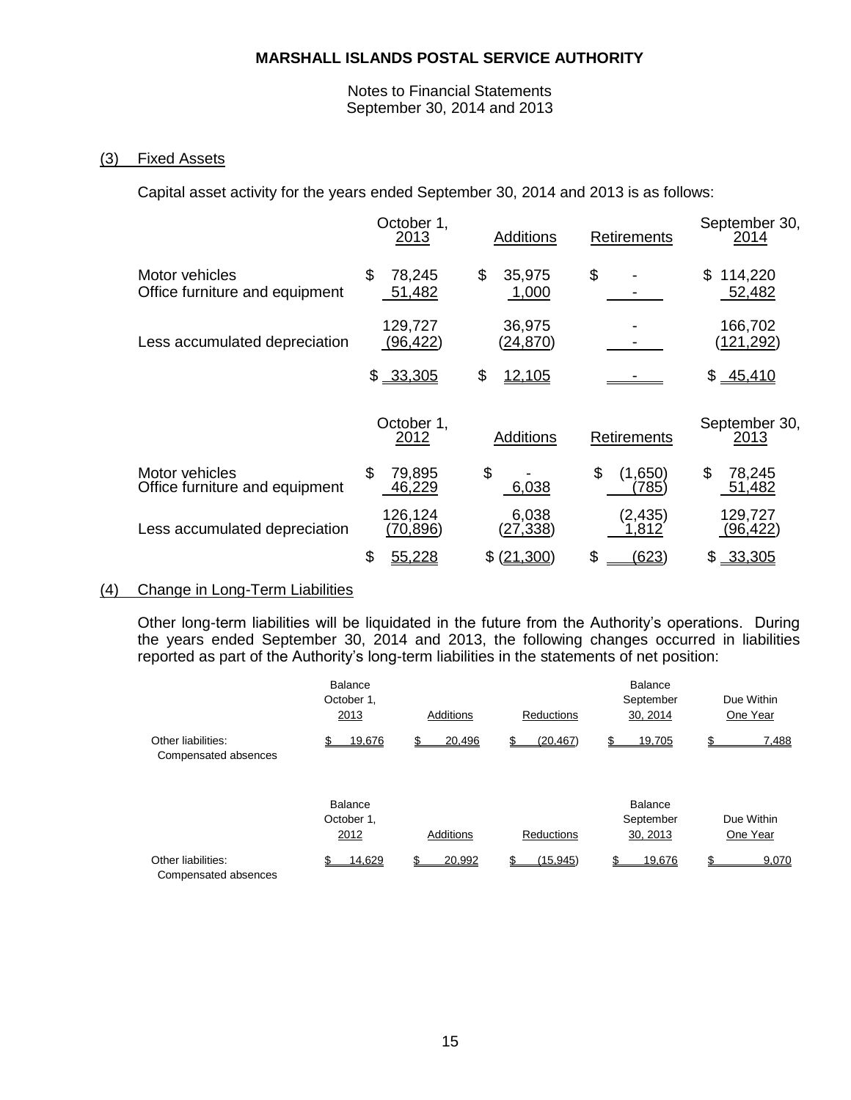Notes to Financial Statements September 30, 2014 and 2013

# (3) Fixed Assets

Capital asset activity for the years ended September 30, 2014 and 2013 is as follows:

|                                                  | October 1,<br>2013     | <b>Additions</b>      | Retirements            | September 30,<br>2014   |
|--------------------------------------------------|------------------------|-----------------------|------------------------|-------------------------|
| Motor vehicles<br>Office furniture and equipment | \$<br>78,245<br>51,482 | \$<br>35,975<br>1,000 | \$                     | \$<br>114,220<br>52,482 |
| Less accumulated depreciation                    | 129,727<br>(96, 422)   | 36,975<br>(24, 870)   |                        | 166,702<br>(121, 292)   |
|                                                  | \$ 33,305              | \$<br>12,105          |                        | \$ 45,410               |
|                                                  | October 1,<br>2012     | <b>Additions</b>      | Retirements            | September 30,<br>2013   |
| Motor vehicles<br>Office furniture and equipment | \$<br>79,895<br>46,229 | \$<br>6,038           | \$<br>(1,650)<br>(785) | \$<br>78,245<br>51,482  |
| Less accumulated depreciation                    | 126,124<br>(70,896)    | 6,038<br>(27, 338)    | (2, 435)<br>1,812      | 129,727<br>(96,422)     |
|                                                  | \$<br><u>55,228</u>    | \$ (21,300)           | \$<br>(623)            | \$ 33,305               |

# (4) Change in Long-Term Liabilities

Other long-term liabilities will be liquidated in the future from the Authority's operations. During the years ended September 30, 2014 and 2013, the following changes occurred in liabilities reported as part of the Authority's long-term liabilities in the statements of net position:

|                                            | <b>Balance</b><br>October 1,<br>2013 | Additions | <b>Reductions</b> | Balance<br>September<br>30, 2014        | Due Within<br>One Year |
|--------------------------------------------|--------------------------------------|-----------|-------------------|-----------------------------------------|------------------------|
| Other liabilities:<br>Compensated absences | 19.676                               | 20.496    | (20.467)          | 19.705                                  | 7.488                  |
|                                            | <b>Balance</b><br>October 1,<br>2012 | Additions | <b>Reductions</b> | <b>Balance</b><br>September<br>30, 2013 | Due Within<br>One Year |
| Other liabilities:<br>Compensated absences | 14.629                               | 20.992    | (15.945)          | 19.676                                  | 9.070                  |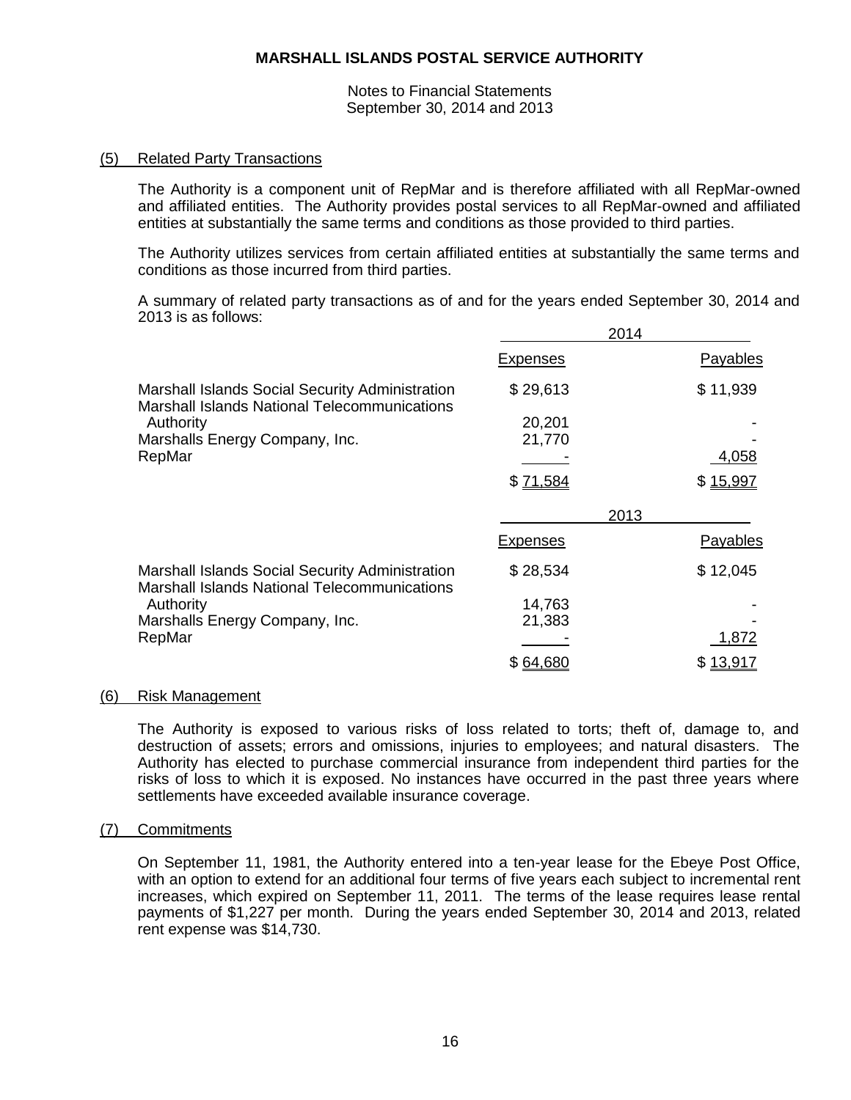Notes to Financial Statements September 30, 2014 and 2013

# (5) Related Party Transactions

The Authority is a component unit of RepMar and is therefore affiliated with all RepMar-owned and affiliated entities. The Authority provides postal services to all RepMar-owned and affiliated entities at substantially the same terms and conditions as those provided to third parties.

The Authority utilizes services from certain affiliated entities at substantially the same terms and conditions as those incurred from third parties.

A summary of related party transactions as of and for the years ended September 30, 2014 and 2013 is as follows:

|                                                                                                               |                 | 2014 |          |
|---------------------------------------------------------------------------------------------------------------|-----------------|------|----------|
|                                                                                                               | <b>Expenses</b> |      | Payables |
| <b>Marshall Islands Social Security Administration</b><br><b>Marshall Islands National Telecommunications</b> | \$29,613        |      | \$11,939 |
| Authority                                                                                                     | 20,201          |      |          |
| Marshalls Energy Company, Inc.                                                                                | 21,770          |      |          |
| RepMar                                                                                                        |                 |      | 4,058    |
|                                                                                                               | \$71,584        |      | \$15,997 |
|                                                                                                               |                 | 2013 |          |
|                                                                                                               | <b>Expenses</b> |      | Payables |
| <b>Marshall Islands Social Security Administration</b><br><b>Marshall Islands National Telecommunications</b> | \$28,534        |      | \$12,045 |
| Authority                                                                                                     | 14,763          |      |          |
| Marshalls Energy Company, Inc.                                                                                | 21,383          |      |          |
| RepMar                                                                                                        |                 |      | 1,872    |
|                                                                                                               | \$64,680        |      | \$13,917 |

#### (6) Risk Management

The Authority is exposed to various risks of loss related to torts; theft of, damage to, and destruction of assets; errors and omissions, injuries to employees; and natural disasters. The Authority has elected to purchase commercial insurance from independent third parties for the risks of loss to which it is exposed. No instances have occurred in the past three years where settlements have exceeded available insurance coverage.

# (7) Commitments

On September 11, 1981, the Authority entered into a ten-year lease for the Ebeye Post Office, with an option to extend for an additional four terms of five years each subject to incremental rent increases, which expired on September 11, 2011. The terms of the lease requires lease rental payments of \$1,227 per month. During the years ended September 30, 2014 and 2013, related rent expense was \$14,730.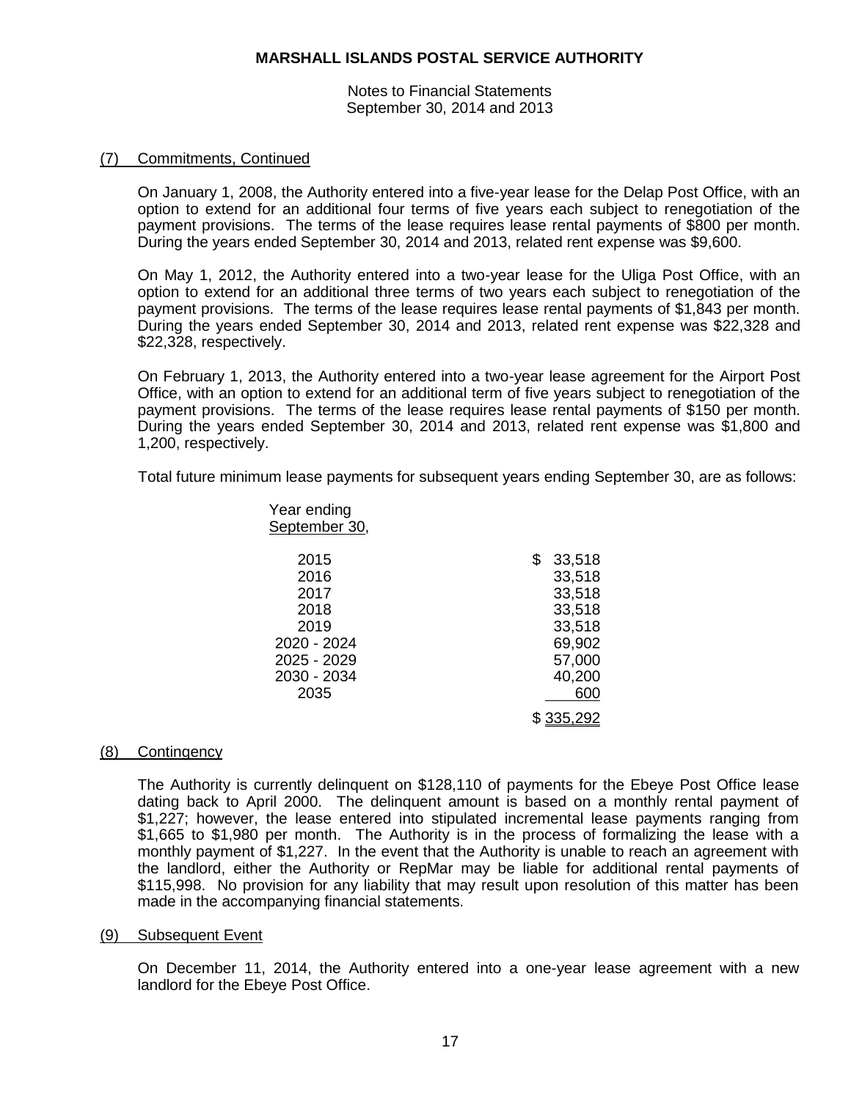Notes to Financial Statements September 30, 2014 and 2013

### (7) Commitments, Continued

On January 1, 2008, the Authority entered into a five-year lease for the Delap Post Office, with an option to extend for an additional four terms of five years each subject to renegotiation of the payment provisions. The terms of the lease requires lease rental payments of \$800 per month. During the years ended September 30, 2014 and 2013, related rent expense was \$9,600.

On May 1, 2012, the Authority entered into a two-year lease for the Uliga Post Office, with an option to extend for an additional three terms of two years each subject to renegotiation of the payment provisions. The terms of the lease requires lease rental payments of \$1,843 per month. During the years ended September 30, 2014 and 2013, related rent expense was \$22,328 and \$22,328, respectively.

On February 1, 2013, the Authority entered into a two-year lease agreement for the Airport Post Office, with an option to extend for an additional term of five years subject to renegotiation of the payment provisions. The terms of the lease requires lease rental payments of \$150 per month. During the years ended September 30, 2014 and 2013, related rent expense was \$1,800 and 1,200, respectively.

Total future minimum lease payments for subsequent years ending September 30, are as follows:

| Year ending<br>September 30, |              |
|------------------------------|--------------|
| 2015                         | 33,518<br>\$ |
| 2016                         | 33,518       |
| 2017                         | 33,518       |
| 2018                         | 33,518       |
| 2019                         | 33,518       |
| 2020 - 2024                  | 69,902       |
| 2025 - 2029                  | 57,000       |
| 2030 - 2034                  | 40,200       |
| 2035                         | 600          |
|                              |              |

#### (8) Contingency

The Authority is currently delinquent on \$128,110 of payments for the Ebeye Post Office lease dating back to April 2000. The delinquent amount is based on a monthly rental payment of \$1,227; however, the lease entered into stipulated incremental lease payments ranging from \$1,665 to \$1,980 per month. The Authority is in the process of formalizing the lease with a monthly payment of \$1,227. In the event that the Authority is unable to reach an agreement with the landlord, either the Authority or RepMar may be liable for additional rental payments of \$115,998. No provision for any liability that may result upon resolution of this matter has been made in the accompanying financial statements.

#### (9) Subsequent Event

On December 11, 2014, the Authority entered into a one-year lease agreement with a new landlord for the Ebeye Post Office.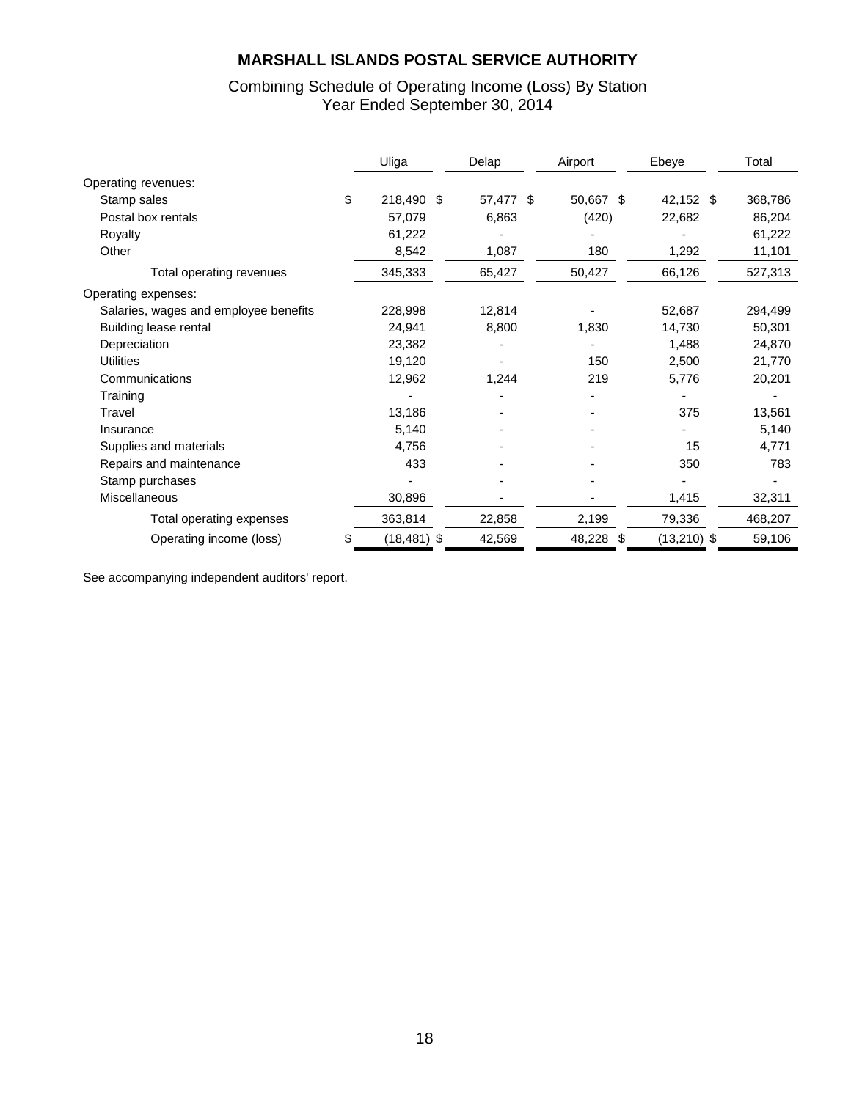# Combining Schedule of Operating Income (Loss) By Station Year Ended September 30, 2014

|                                       |    | Uliga          | Delap     | Airport   | Ebeye         | Total   |
|---------------------------------------|----|----------------|-----------|-----------|---------------|---------|
| Operating revenues:                   |    |                |           |           |               |         |
| Stamp sales                           | \$ | 218,490 \$     | 57,477 \$ | 50,667 \$ | 42,152 \$     | 368,786 |
| Postal box rentals                    |    | 57,079         | 6,863     | (420)     | 22,682        | 86,204  |
| Royalty                               |    | 61,222         |           |           |               | 61,222  |
| Other                                 |    | 8,542          | 1,087     | 180       | 1,292         | 11,101  |
| Total operating revenues              |    | 345,333        | 65,427    | 50,427    | 66,126        | 527,313 |
| Operating expenses:                   |    |                |           |           |               |         |
| Salaries, wages and employee benefits |    | 228,998        | 12,814    |           | 52,687        | 294,499 |
| Building lease rental                 |    | 24,941         | 8,800     | 1,830     | 14,730        | 50,301  |
| Depreciation                          |    | 23,382         |           |           | 1,488         | 24,870  |
| <b>Utilities</b>                      |    | 19,120         |           | 150       | 2,500         | 21,770  |
| Communications                        |    | 12,962         | 1,244     | 219       | 5,776         | 20,201  |
| Training                              |    |                |           |           |               |         |
| Travel                                |    | 13,186         |           |           | 375           | 13,561  |
| Insurance                             |    | 5,140          |           |           |               | 5,140   |
| Supplies and materials                |    | 4,756          |           |           | 15            | 4,771   |
| Repairs and maintenance               |    | 433            |           |           | 350           | 783     |
| Stamp purchases                       |    |                |           |           |               |         |
| Miscellaneous                         |    | 30,896         |           |           | 1,415         | 32,311  |
| Total operating expenses              |    | 363,814        | 22,858    | 2,199     | 79,336        | 468,207 |
| Operating income (loss)               | S  | $(18, 481)$ \$ | 42,569    | 48,228 \$ | $(13,210)$ \$ | 59,106  |

See accompanying independent auditors' report.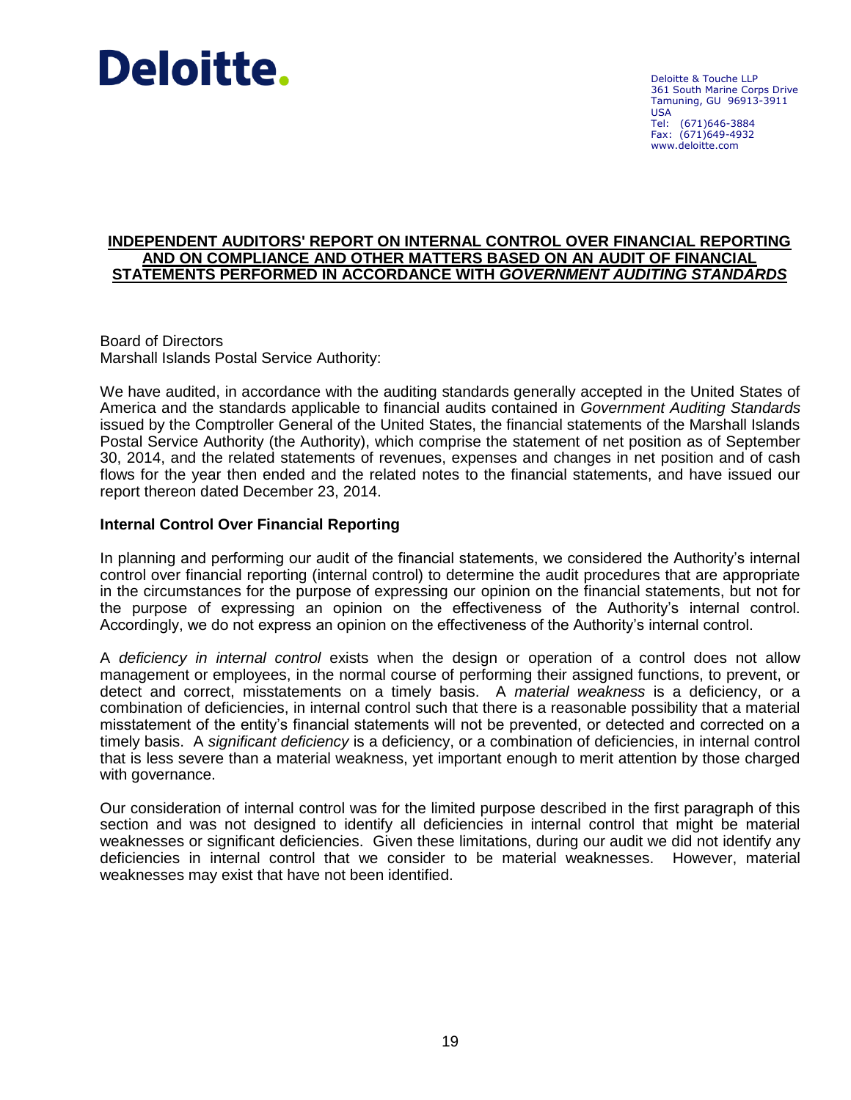# Deloitte.

Deloitte & Touche LLP 361 South Marine Corps Drive Tamuning, GU 96913-3911 **USA** Tel: (671)646-3884 Fax: (671)649-4932 www.deloitte.com

# **INDEPENDENT AUDITORS' REPORT ON INTERNAL CONTROL OVER FINANCIAL REPORTING AND ON COMPLIANCE AND OTHER MATTERS BASED ON AN AUDIT OF FINANCIAL STATEMENTS PERFORMED IN ACCORDANCE WITH** *GOVERNMENT AUDITING STANDARDS*

Board of Directors Marshall Islands Postal Service Authority:

We have audited, in accordance with the auditing standards generally accepted in the United States of America and the standards applicable to financial audits contained in *Government Auditing Standards* issued by the Comptroller General of the United States, the financial statements of the Marshall Islands Postal Service Authority (the Authority), which comprise the statement of net position as of September 30, 2014, and the related statements of revenues, expenses and changes in net position and of cash flows for the year then ended and the related notes to the financial statements, and have issued our report thereon dated December 23, 2014.

# **Internal Control Over Financial Reporting**

In planning and performing our audit of the financial statements, we considered the Authority's internal control over financial reporting (internal control) to determine the audit procedures that are appropriate in the circumstances for the purpose of expressing our opinion on the financial statements, but not for the purpose of expressing an opinion on the effectiveness of the Authority's internal control. Accordingly, we do not express an opinion on the effectiveness of the Authority's internal control.

A *deficiency in internal control* exists when the design or operation of a control does not allow management or employees, in the normal course of performing their assigned functions, to prevent, or detect and correct, misstatements on a timely basis. A *material weakness* is a deficiency, or a combination of deficiencies, in internal control such that there is a reasonable possibility that a material misstatement of the entity's financial statements will not be prevented, or detected and corrected on a timely basis. A *significant deficiency* is a deficiency, or a combination of deficiencies, in internal control that is less severe than a material weakness, yet important enough to merit attention by those charged with governance.

Our consideration of internal control was for the limited purpose described in the first paragraph of this section and was not designed to identify all deficiencies in internal control that might be material weaknesses or significant deficiencies. Given these limitations, during our audit we did not identify any deficiencies in internal control that we consider to be material weaknesses. However, material weaknesses may exist that have not been identified.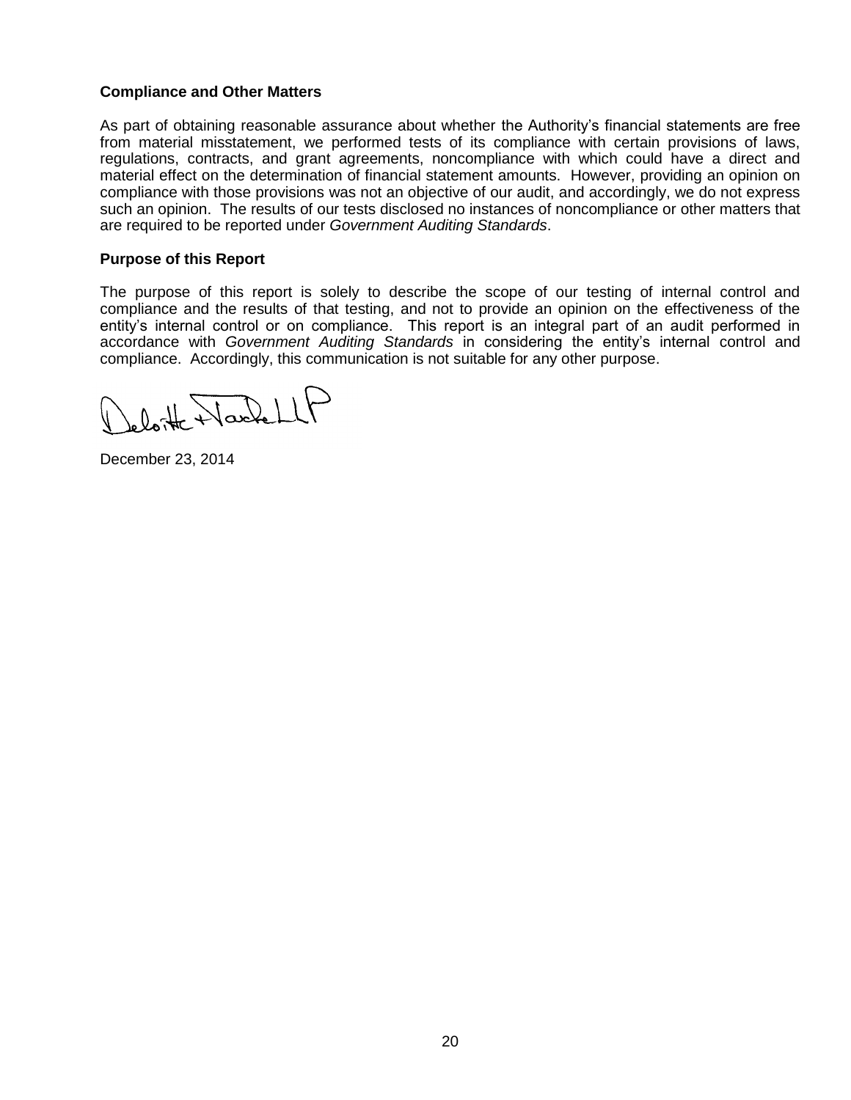# **Compliance and Other Matters**

As part of obtaining reasonable assurance about whether the Authority's financial statements are free from material misstatement, we performed tests of its compliance with certain provisions of laws, regulations, contracts, and grant agreements, noncompliance with which could have a direct and material effect on the determination of financial statement amounts. However, providing an opinion on compliance with those provisions was not an objective of our audit, and accordingly, we do not express such an opinion. The results of our tests disclosed no instances of noncompliance or other matters that are required to be reported under *Government Auditing Standards*.

# **Purpose of this Report**

The purpose of this report is solely to describe the scope of our testing of internal control and compliance and the results of that testing, and not to provide an opinion on the effectiveness of the entity's internal control or on compliance. This report is an integral part of an audit performed in accordance with *Government Auditing Standards* in considering the entity's internal control and compliance. Accordingly, this communication is not suitable for any other purpose.

loite Nachell

December 23, 2014